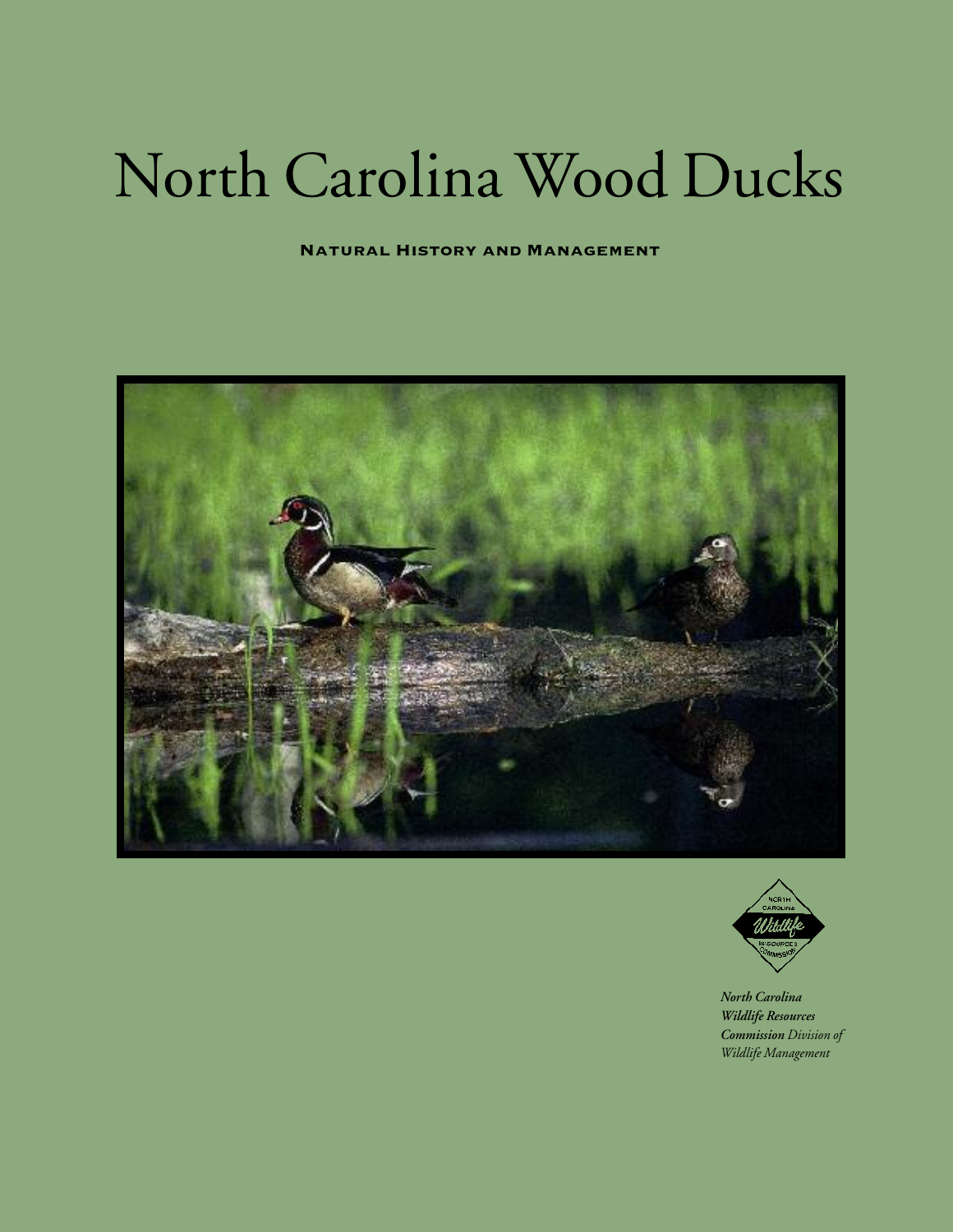## North Carolina Wood Ducks

**Natural History and Management**





*North Carolina Wildlife Resources Commission Division of Wildlife Management*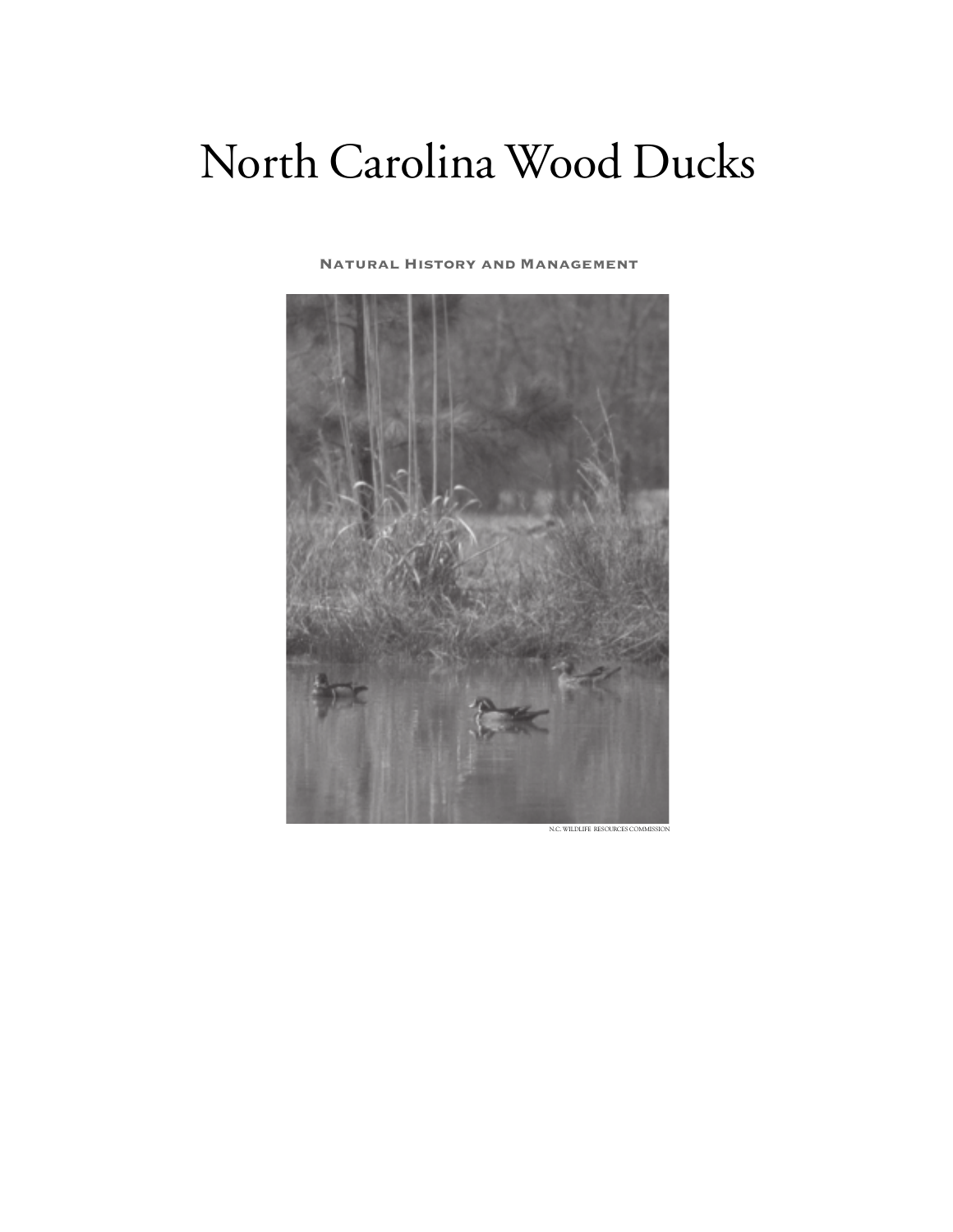## North Carolina Wood Ducks

#### **Natural History and Management**



N.C. WILDLIFE RESOURCES COMMISS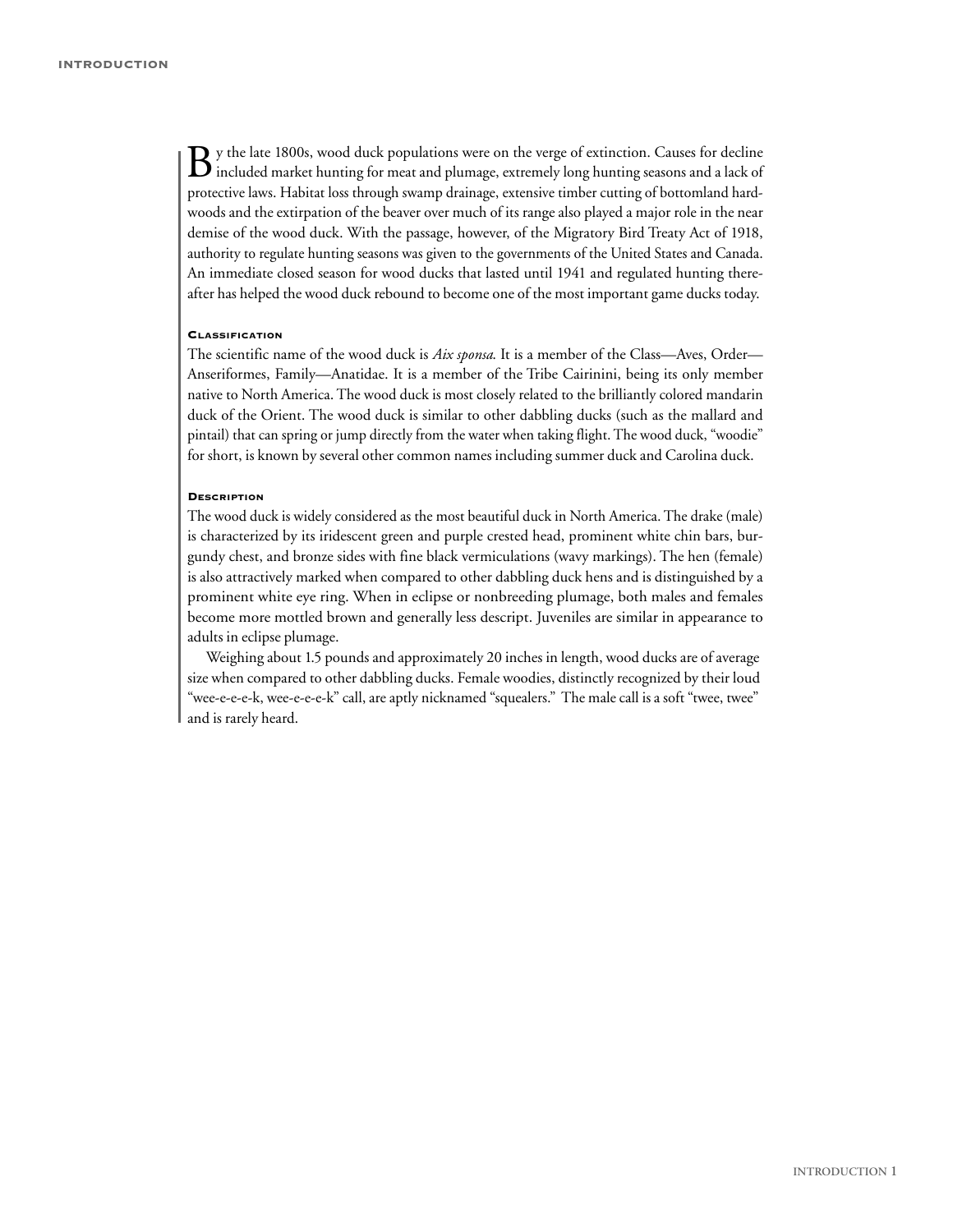By the late 1800s, wood duck populations were on the verge of extinction. Causes for decline included market hunting for meat and plumage, extremely long hunting seasons and a lack of protective laws. Habitat loss through swamp drainage, extensive timber cutting of bottomland hardwoods and the extirpation of the beaver over much of its range also played a major role in the near demise of the wood duck. With the passage, however, of the Migratory Bird Treaty Act of 1918, authority to regulate hunting seasons was given to the governments of the United States and Canada. An immediate closed season for wood ducks that lasted until 1941 and regulated hunting thereafter has helped the wood duck rebound to become one of the most important game ducks today.

#### **CLASSIFICATION**

The scientific name of the wood duck is *Aix sponsa*. It is a member of the Class—Aves, Order— Anseriformes, Family—Anatidae. It is a member of the Tribe Cairinini, being its only member native to North America. The wood duck is most closely related to the brilliantly colored mandarin duck of the Orient. The wood duck is similar to other dabbling ducks (such as the mallard and pintail) that can spring or jump directly from the water when taking flight. The wood duck, "woodie" for short, is known by several other common names including summer duck and Carolina duck.

#### **DESCRIPTION**

The wood duck is widely considered as the most beautiful duck in North America. The drake (male) is characterized by its iridescent green and purple crested head, prominent white chin bars, burgundy chest, and bronze sides with fine black vermiculations (wavy markings). The hen (female) is also attractively marked when compared to other dabbling duck hens and is distinguished by a prominent white eye ring. When in eclipse or nonbreeding plumage, both males and females become more mottled brown and generally less descript. Juveniles are similar in appearance to adults in eclipse plumage.

Weighing about 1.5 pounds and approximately 20 inches in length, wood ducks are of average size when compared to other dabbling ducks. Female woodies, distinctly recognized by their loud "wee-e-e-e-k, wee-e-e-e-k" call, are aptly nicknamed "squealers." The male call is a soft "twee, twee" and is rarely heard.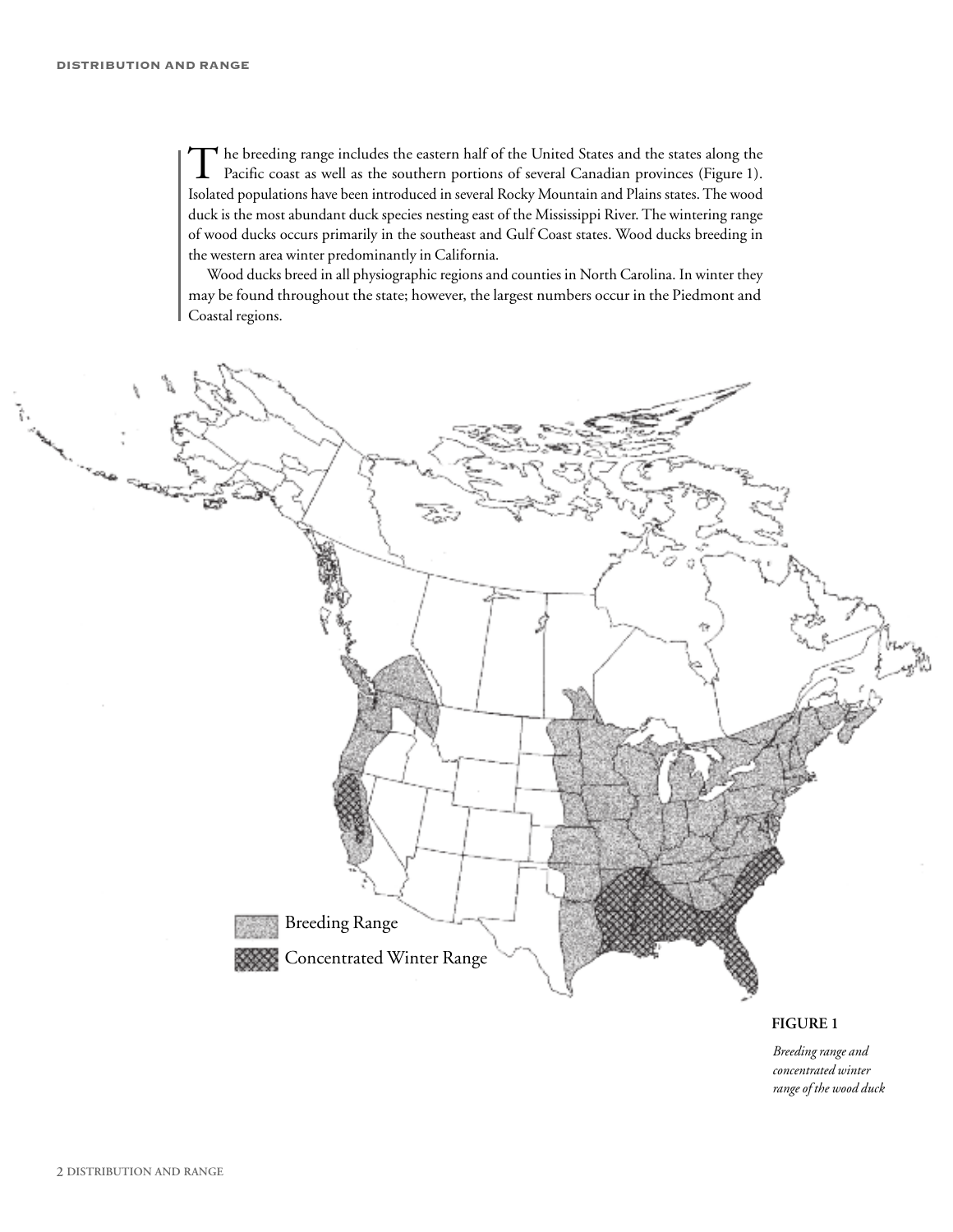The breeding range includes the eastern half of the United States and the states along the Pacific coast as well as the southern portions of several Canadian provinces (Figure 1). Isolated populations have been introduced in several Rocky Mountain and Plains states.The wood duck is the most abundant duck species nesting east of the Mississippi River. The wintering range of wood ducks occurs primarily in the southeast and Gulf Coast states. Wood ducks breeding in the western area winter predominantly in California.

Wood ducks breed in all physiographic regions and counties in North Carolina. In winter they may be found throughout the state; however, the largest numbers occur in the Piedmont and Coastal regions.



#### **FIGURE 1**

*Breeding range and concentrated winter range of the wood duck*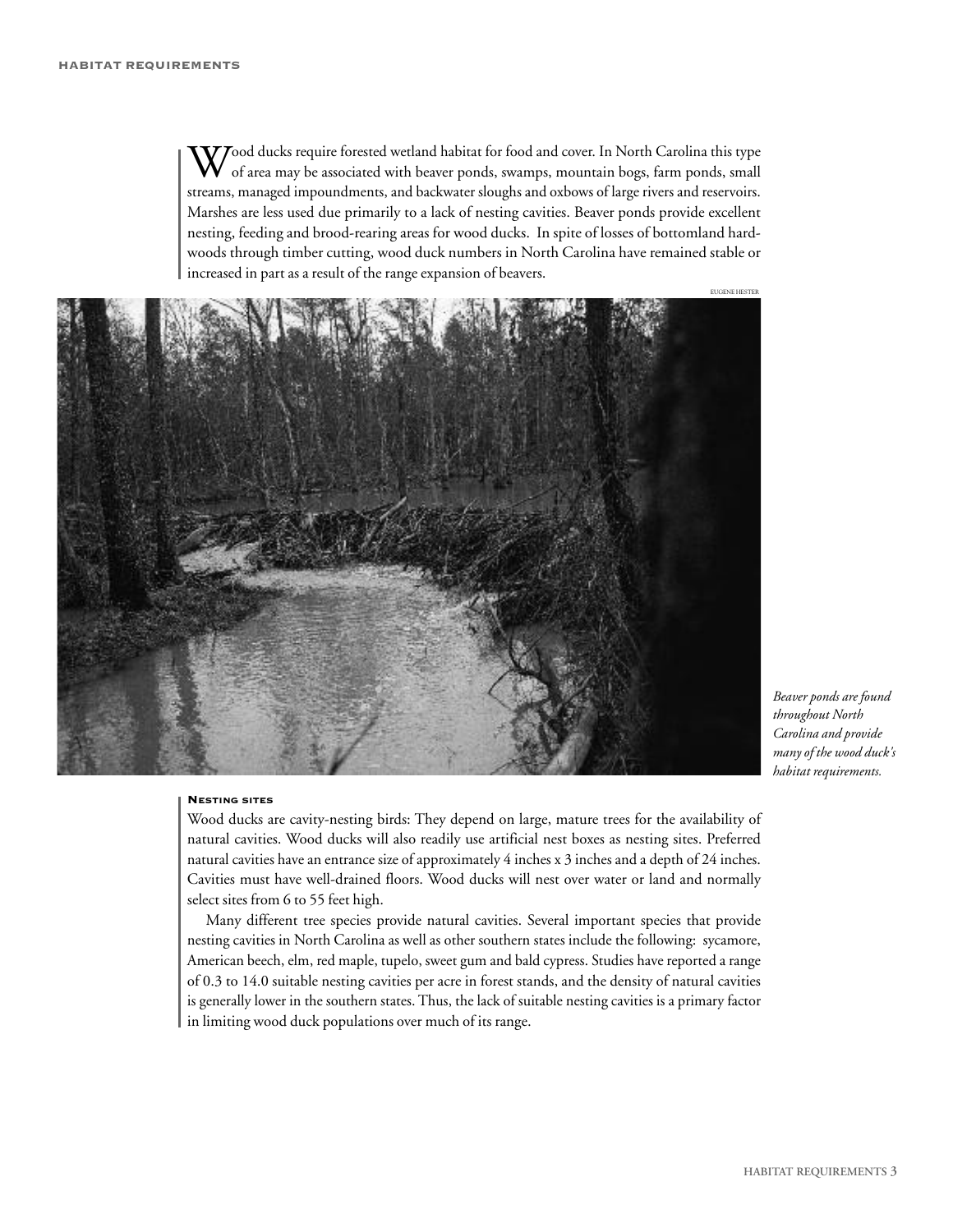$\bm{V}$ ood ducks require forested wetland habitat for food and cover. In North Carolina this type of area may be associated with beaver ponds, swamps, mountain bogs, farm ponds, small streams, managed impoundments, and backwater sloughs and oxbows of large rivers and reservoirs. Marshes are less used due primarily to a lack of nesting cavities. Beaver ponds provide excellent nesting, feeding and brood-rearing areas for wood ducks. In spite of losses of bottomland hardwoods through timber cutting, wood duck numbers in North Carolina have remained stable or increased in part as a result of the range expansion of beavers.



*Beaver ponds are found throughout North Carolina and provide many of the wood duck's habitat requirements.*

#### **NESTING SITES**

Wood ducks are cavity-nesting birds: They depend on large, mature trees for the availability of natural cavities. Wood ducks will also readily use artificial nest boxes as nesting sites. Preferred natural cavities have an entrance size of approximately 4 inches x 3 inches and a depth of 24 inches. Cavities must have well-drained floors. Wood ducks will nest over water or land and normally select sites from 6 to 55 feet high.

Many different tree species provide natural cavities. Several important species that provide nesting cavities in North Carolina as well as other southern states include the following: sycamore, American beech, elm, red maple, tupelo, sweet gum and bald cypress. Studies have reported a range of 0.3 to 14.0 suitable nesting cavities per acre in forest stands, and the density of natural cavities is generally lower in the southern states. Thus, the lack of suitable nesting cavities is a primary factor in limiting wood duck populations over much of its range.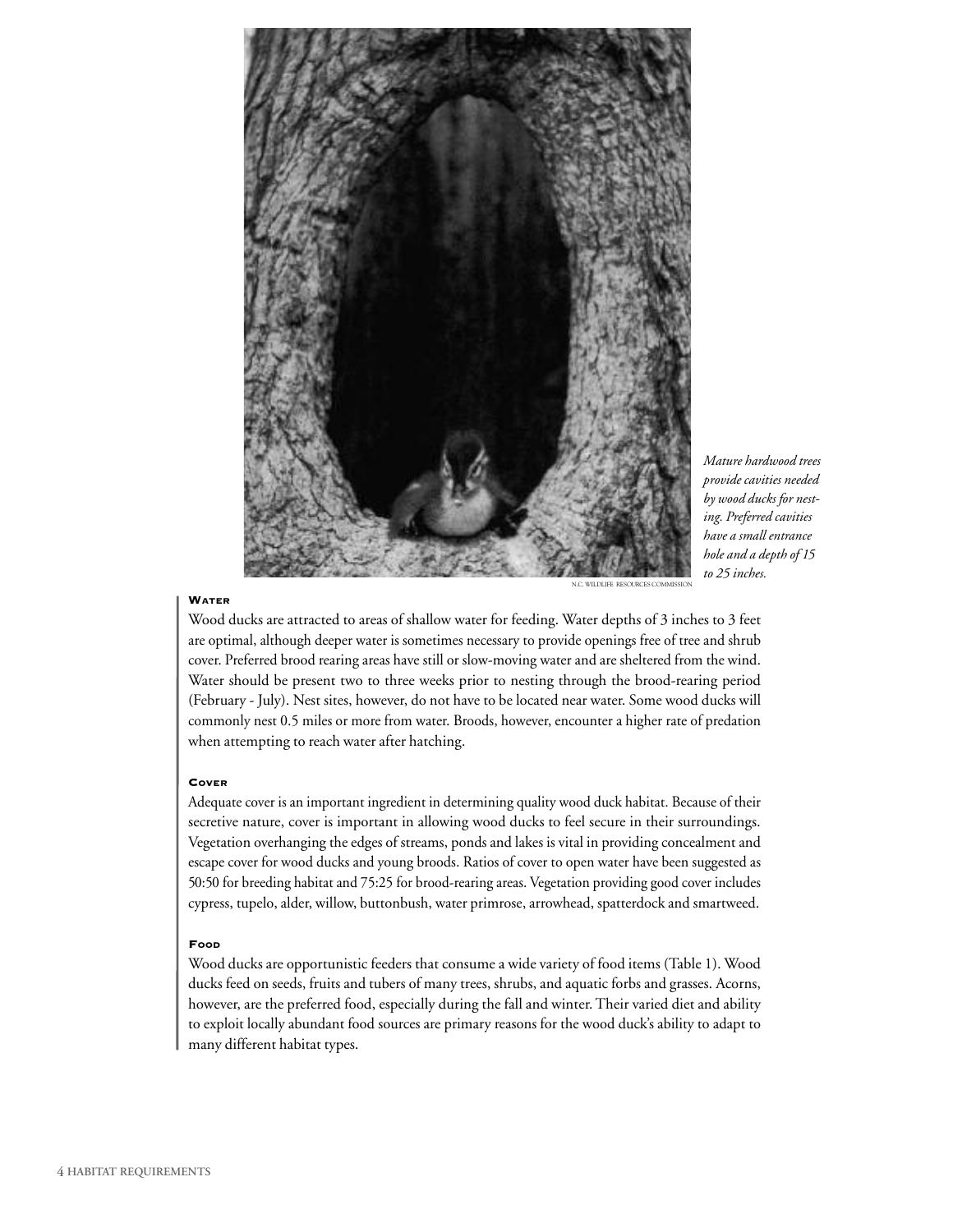

*Mature hardwood trees provide cavities needed by wood ducks for nesting. Preferred cavities have a small entrance hole and a depth of 15 to 25 inches.*

#### **WATER**

N.C. WILDLIFE RESOURCES COMMISSION

Wood ducks are attracted to areas of shallow water for feeding. Water depths of 3 inches to 3 feet are optimal, although deeper water is sometimes necessary to provide openings free of tree and shrub cover. Preferred brood rearing areas have still or slow-moving water and are sheltered from the wind. Water should be present two to three weeks prior to nesting through the brood-rearing period (February - July). Nest sites, however, do not have to be located near water. Some wood ducks will commonly nest 0.5 miles or more from water. Broods, however, encounter a higher rate of predation when attempting to reach water after hatching.

#### **COVER**

Adequate cover is an important ingredient in determining quality wood duck habitat. Because of their secretive nature, cover is important in allowing wood ducks to feel secure in their surroundings. Vegetation overhanging the edges of streams, ponds and lakes is vital in providing concealment and escape cover for wood ducks and young broods. Ratios of cover to open water have been suggested as 50:50 for breeding habitat and 75:25 for brood-rearing areas. Vegetation providing good cover includes cypress, tupelo, alder, willow, buttonbush, water primrose, arrowhead, spatterdock and smartweed.

#### **FOOD**

Wood ducks are opportunistic feeders that consume a wide variety of food items (Table 1). Wood ducks feed on seeds, fruits and tubers of many trees, shrubs, and aquatic forbs and grasses. Acorns, however, are the preferred food, especially during the fall and winter. Their varied diet and ability to exploit locally abundant food sources are primary reasons for the wood duck's ability to adapt to many different habitat types.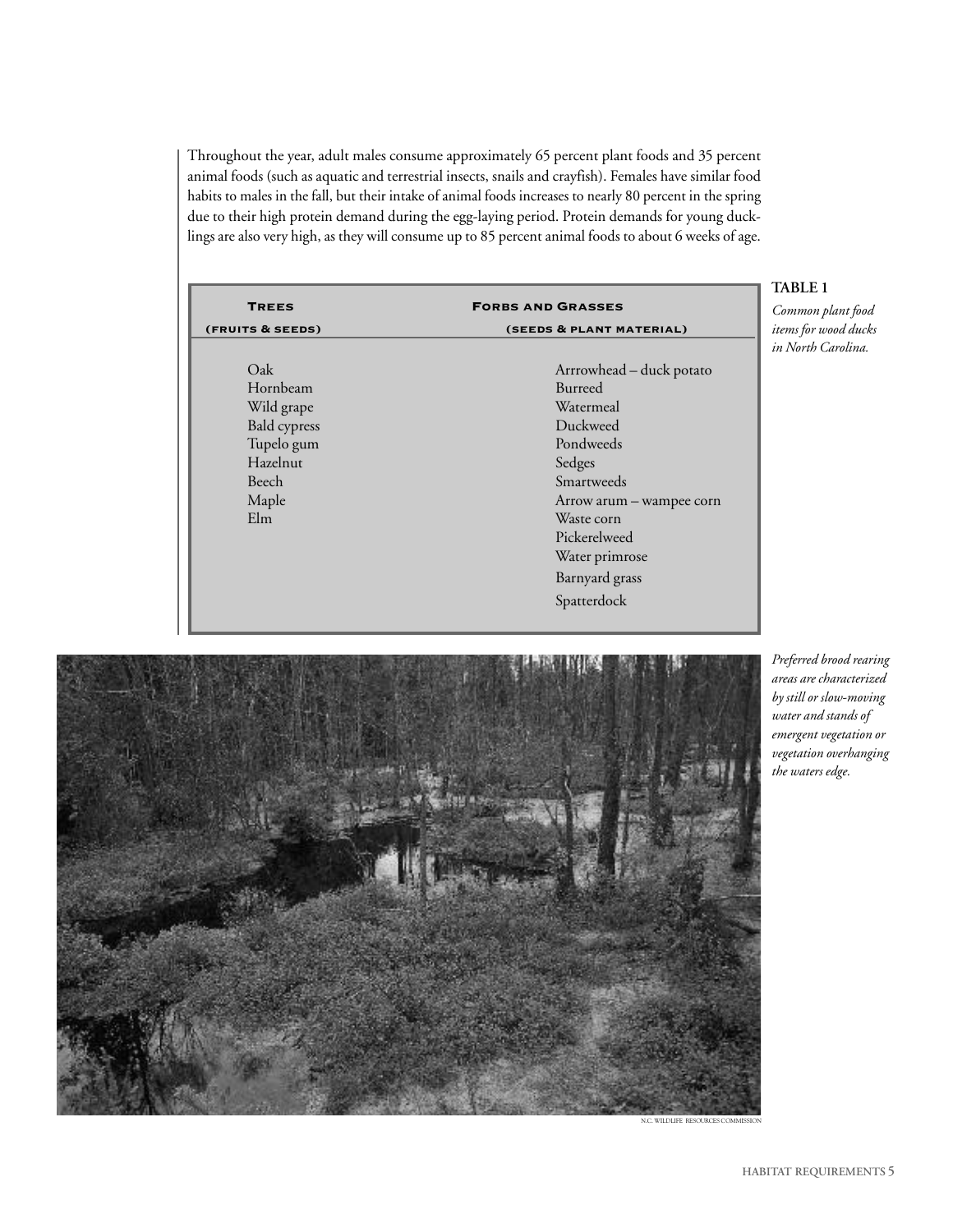Throughout the year, adult males consume approximately 65 percent plant foods and 35 percent animal foods (such as aquatic and terrestrial insects, snails and crayfish). Females have similar food habits to males in the fall, but their intake of animal foods increases to nearly 80 percent in the spring due to their high protein demand during the egg-laying period. Protein demands for young ducklings are also very high, as they will consume up to 85 percent animal foods to about 6 weeks of age.

| <b>TREES</b>        | <b>FORBS AND GRASSES</b> |  |
|---------------------|--------------------------|--|
| (FRUITS & SEEDS)    | (SEEDS & PLANT MATERIAL) |  |
|                     |                          |  |
| Oak                 | Arrrowhead - duck potato |  |
| Hornbeam            | Burreed                  |  |
| Wild grape          | Watermeal                |  |
| <b>Bald</b> cypress | Duckweed                 |  |
| Tupelo gum          | Pondweeds                |  |
| Hazelnut            | Sedges                   |  |
| Beech               | Smartweeds               |  |
| Maple               | Arrow arum - wampee corn |  |
| Elm                 | Waste corn               |  |
|                     | Pickerelweed             |  |
|                     | Water primrose           |  |
|                     | Barnyard grass           |  |
|                     | Spatterdock              |  |

#### **TABLE 1**

*Common plant food items for wood ducks in North Carolina.*



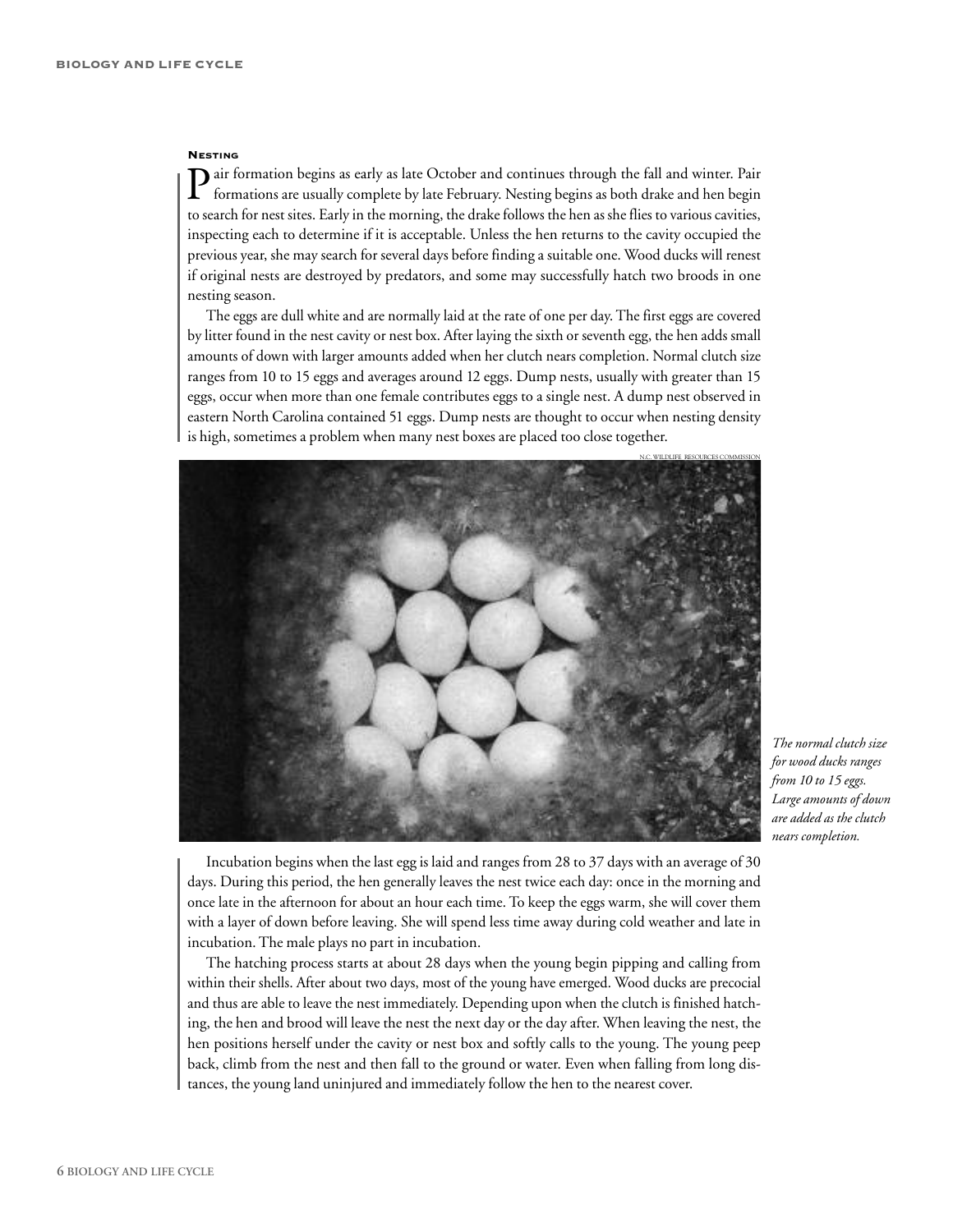#### **NESTING**

air formation begins as early as late October and continues through the fall and winter. Pair formations are usually complete by late February. Nesting begins as both drake and hen begin to search for nest sites. Early in the morning, the drake follows the hen as she flies to various cavities, inspecting each to determine if it is acceptable. Unless the hen returns to the cavity occupied the previous year, she may search for several days before finding a suitable one. Wood ducks will renest if original nests are destroyed by predators, and some may successfully hatch two broods in one nesting season.

The eggs are dull white and are normally laid at the rate of one per day. The first eggs are covered by litter found in the nest cavity or nest box. After laying the sixth or seventh egg, the hen adds small amounts of down with larger amounts added when her clutch nears completion. Normal clutch size ranges from 10 to 15 eggs and averages around 12 eggs. Dump nests, usually with greater than 15 eggs, occur when more than one female contributes eggs to a single nest. A dump nest observed in eastern North Carolina contained 51 eggs. Dump nests are thought to occur when nesting density is high, sometimes a problem when many nest boxes are placed too close together.



*The normal clutch size for wood ducks ranges from 10 to 15 eggs. Large amounts of down are added as the clutch nears completion.*

Incubation begins when thelastegg is laid and ranges from 28 to 37 days with an average of 30 days. During this period, the hen generally leaves the nest twice each day: once in the morning and once late in the afternoon for about an hour each time. To keep the eggs warm, she will cover them with a layer of down before leaving. She will spend less time away during cold weather and late in incubation.The male plays no part in incubation.

The hatching process starts at about 28 days when the young begin pipping and calling from within their shells. After about two days, most of the young have emerged. Wood ducks are precocial and thus are able to leave the nest immediately. Depending upon when the clutch is finished hatching, the hen and brood will leave the nest the next day or the day after. When leaving the nest, the hen positions herself under the cavity or nest box and softly calls to the young. The young peep back, climb from the nest and then fall to the ground or water. Even when falling from long distances, the young land uninjured and immediately follow the hen to the nearest cover.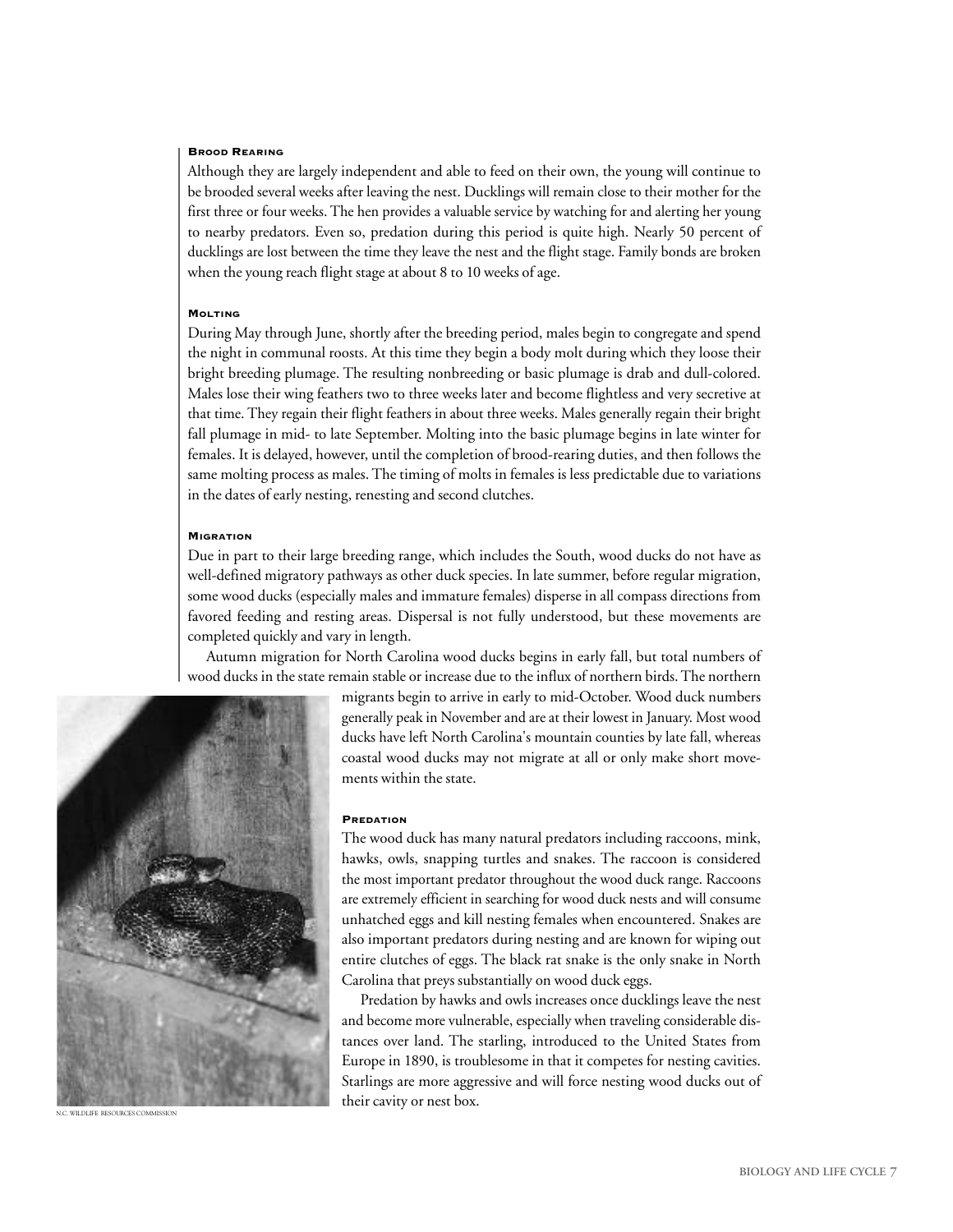#### **BROOD REARING**

Although they are largely independent and able to feed on their own, the young will continue to be brooded several weeks after leaving the nest. Ducklings will remain close to their mother for the first three or four weeks. The hen provides a valuable service by watching for and alerting her young to nearby predators. Even so, predation during this period is quite high. Nearly 50 percent of ducklings are lost between the time they leave the nest and the flight stage. Family bonds are broken when the young reach flight stage at about 8 to 10 weeks of age.

#### **MOLTING**

During May through June, shortly after the breeding period, males begin to congregate and spend the night in communal roosts. At this time they begin a body molt during which they loose their bright breeding plumage. The resulting nonbreeding or basic plumage is drab and dull-colored. Males lose their wing feathers two to three weeks later and become flightless and very secretive at that time. They regain their flight feathers in about three weeks. Males generally regain their bright fall plumage in mid- to late September. Molting into the basic plumage begins in late winter for females. It is delayed, however, until the completion of brood-rearing duties, and then follows the same molting process as males. The timing of molts in females is less predictable due to variations in the dates of early nesting, renesting and second clutches.

#### **MIGRATION**

Due in part to their large breeding range, which includes the South, wood ducks do not have as well-defined migratory pathways as other duck species. In late summer, before regular migration, some wood ducks (especially males and immature females) disperse in all compass directions from favored feeding and resting areas. Dispersal is not fully understood, but these movements are completed quickly and vary in length.

Autumn migration for North Carolina wood ducks begins in early fall, but total numbers of wood ducks in the state remain stable or increase due to the influx of northern birds.The northern



N.C. WILDLIFE RESOURCES COMMISSION

migrants begin to arrive in early to mid-October. Wood duck numbers generally peak in November and are at their lowest in January. Most wood ducks have left North Carolina's mountain counties by late fall, whereas coastal wood ducks may not migrate at all or only make short movements within the state.

#### **PREDATION**

The wood duck has many natural predators including raccoons, mink, hawks, owls, snapping turtles and snakes. The raccoon is considered the most important predator throughout the wood duck range. Raccoons are extremely efficient in searching for wood duck nests and will consume unhatched eggs and kill nesting females when encountered. Snakes are also important predators during nesting and are known for wiping out entire clutches of eggs. The black rat snake is the only snake in North Carolina that preys substantially on wood duck eggs.

Predation by hawks and owls increases once ducklings leave the nest and become more vulnerable, especially when traveling considerable distances over land. The starling, introduced to the United States from Europe in 1890, is troublesome in that it competes for nesting cavities. Starlings are more aggressive and will force nesting wood ducks out of their cavity or nest box.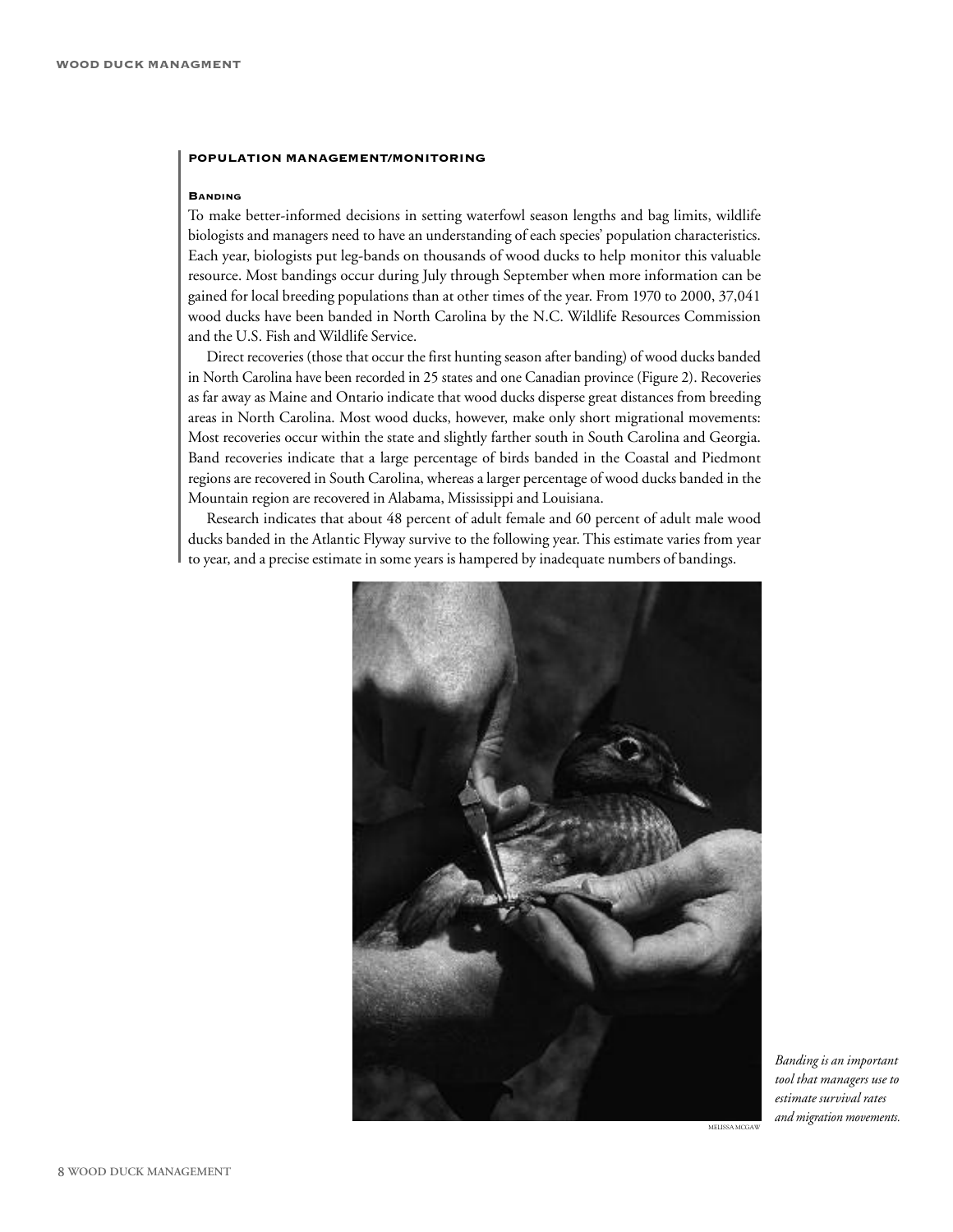#### **POPULATION MANAGEMENT/MONITORING**

#### **BANDING**

To make better-informed decisions in setting waterfowl season lengths and bag limits, wildlife biologists and managers need to have an understanding of each species' population characteristics. Each year, biologists put leg-bands on thousands of wood ducks to help monitor this valuable resource. Most bandings occur during July through September when more information can be gained for local breeding populations than at other times of the year. From 1970 to 2000, 37,041 wood ducks have been banded in North Carolina by the N.C. Wildlife Resources Commission and the U.S. Fish and Wildlife Service.

Direct recoveries (those that occur the first hunting season after banding) of wood ducks banded in North Carolina have been recorded in 25 states and one Canadian province (Figure 2). Recoveries as far away as Maine and Ontario indicate that wood ducks disperse great distances from breeding areas in North Carolina. Most wood ducks, however, make only short migrational movements: Most recoveries occur within the state and slightly farther south in South Carolina and Georgia. Band recoveries indicate that a large percentage of birds banded in the Coastal and Piedmont regions are recovered in South Carolina, whereas a larger percentage of wood ducks banded in the Mountain region are recovered in Alabama, Mississippi and Louisiana.

Research indicates that about 48 percent of adult female and 60 percent of adult male wood ducks banded in the Atlantic Flyway survive to the following year. This estimate varies from year to year, and a precise estimate in some years is hampered by inadequate numbers of bandings.



*Banding is an important tool that managers use to estimate survival rates and migration movements.*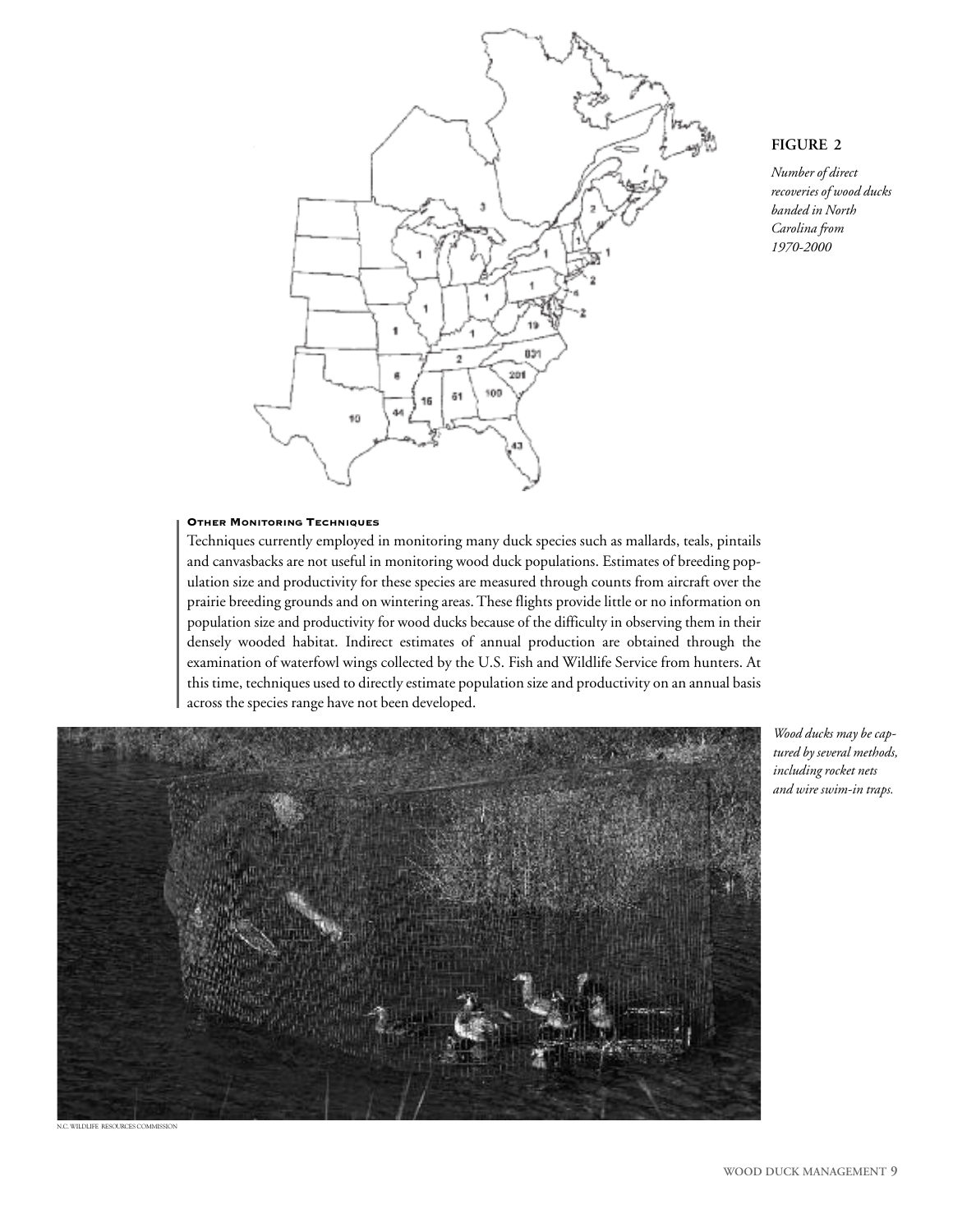

#### **FIGURE 2**

*Number of direct recoveries of wood ducks banded in North Carolina from 1970-2000*

#### **OTHER MONITORING TECHNIQUES**

Techniques currently employed in monitoring many duck species such as mallards, teals, pintails and canvasbacks are not useful in monitoring wood duck populations. Estimates of breeding population size and productivity for these species are measured through counts from aircraft over the prairie breeding grounds and on wintering areas.These flights provide little or no information on population size and productivity for wood ducks because of the difficulty in observing them in their densely wooded habitat. Indirect estimates of annual production are obtained through the examination of waterfowl wings collected by the U.S. Fish and Wildlife Service from hunters. At this time, techniques used to directly estimate population size and productivity on an annual basis across the species range have not been developed.



*Wood ducks may be captured by several methods, including rocket nets and wire swim-in traps.*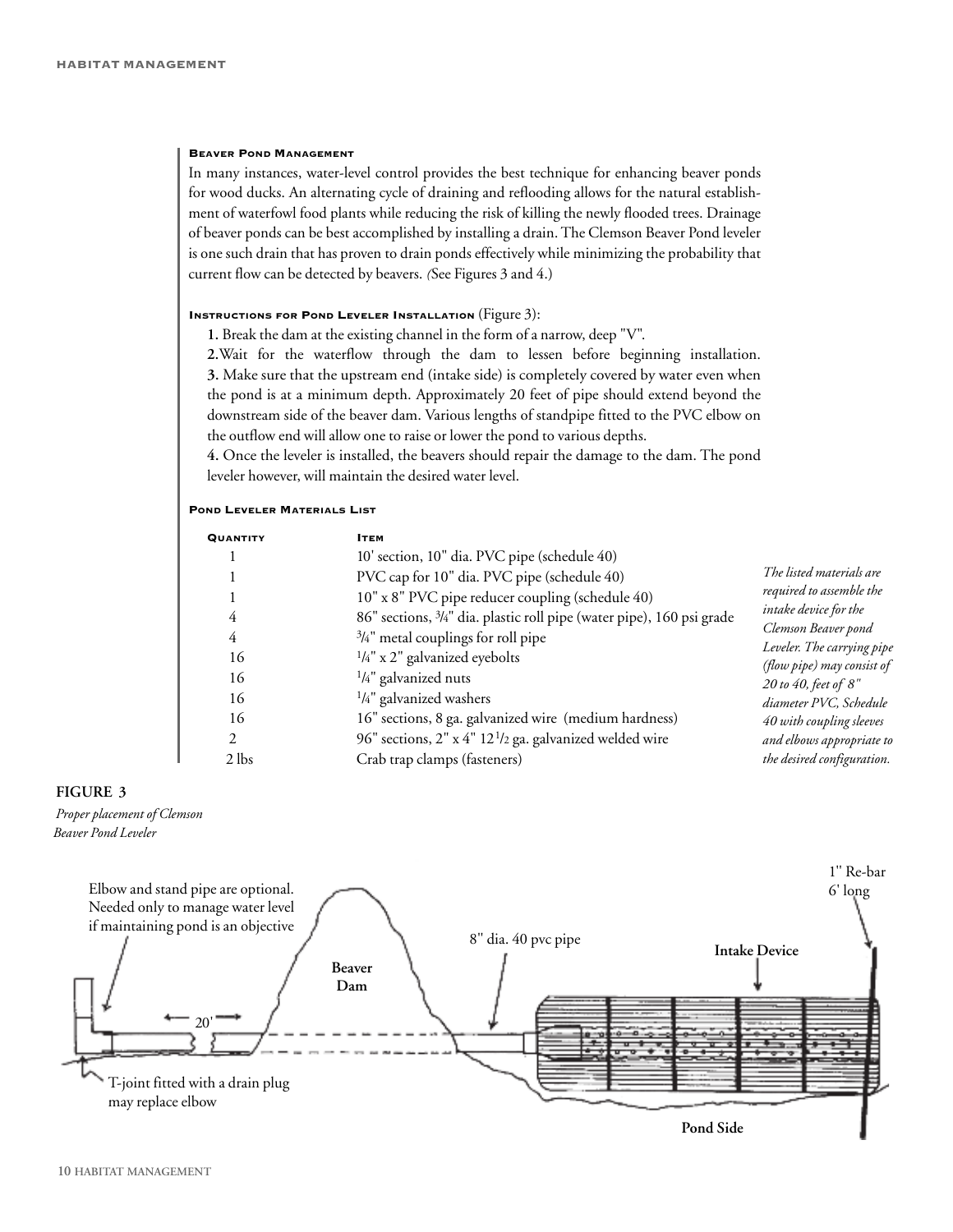#### **BEAVER POND MANAGEMENT**

In many instances, water-level control provides the best technique for enhancing beaver ponds for wood ducks. An alternating cycle of draining and reflooding allows for the natural establishment of waterfowl food plants while reducing the risk of killing the newly flooded trees. Drainage of beaver ponds can be best accomplished by installing a drain.The Clemson Beaver Pond leveler is one such drain that has proven to drain ponds effectively while minimizing the probability that current flow can be detected by beavers. *(*See Figures 3 and 4.)

#### **INSTRUCTIONS FOR POND LEVELER INSTALLATION** (Figure 3):

**1.** Break the dam at the existing channel in the form of a narrow, deep "V".

**2.**Wait for the waterflow through the dam to lessen before beginning installation. **3.** Make sure that the upstream end (intake side) is completely covered by water even when the pond is at a minimum depth. Approximately 20 feet of pipe should extend beyond the downstream side of the beaver dam. Various lengths of standpipe fitted to the PVC elbow on the outflow end will allow one to raise or lower the pond to various depths.

**4.** Once the leveler is installed, the beavers should repair the damage to the dam. The pond leveler however, will maintain the desired water level.

#### **POND LEVELER MATERIALS LIST**

| <b>QUANTITY</b> | Ітем                                                                  |                                                                                                                                      |
|-----------------|-----------------------------------------------------------------------|--------------------------------------------------------------------------------------------------------------------------------------|
|                 | 10' section, 10" dia. PVC pipe (schedule 40)                          |                                                                                                                                      |
|                 | PVC cap for 10" dia. PVC pipe (schedule 40)                           | The listed materials are                                                                                                             |
|                 | 10" x 8" PVC pipe reducer coupling (schedule 40)                      | required to assemble the<br>intake device for the<br>Clemson Beaver pond<br>Leveler. The carrying pipe<br>(flow pipe) may consist of |
| 4               | 86" sections, 3/4" dia. plastic roll pipe (water pipe), 160 psi grade |                                                                                                                                      |
| 4               | $\frac{3}{4}$ " metal couplings for roll pipe                         |                                                                                                                                      |
| 16              | $\frac{1}{4}$ " x 2" galvanized eyebolts                              |                                                                                                                                      |
| 16              | $\frac{1}{4}$ " galvanized nuts                                       | 20 to 40, feet of 8"                                                                                                                 |
| 16              | $\frac{1}{4}$ " galvanized washers                                    | diameter PVC, Schedule                                                                                                               |
| 16              | 16" sections, 8 ga. galvanized wire (medium hardness)                 | 40 with coupling sleeves                                                                                                             |
| $\mathfrak{D}$  | 96" sections, 2" x 4" 12 <sup>1</sup> /2 ga. galvanized welded wire   | and elbows appropriate to                                                                                                            |
| $2$ lbs         | Crab trap clamps (fasteners)                                          | the desired configuration.                                                                                                           |

#### **FIGURE 3**

*Proper placement of Clemson Beaver Pond Leveler*

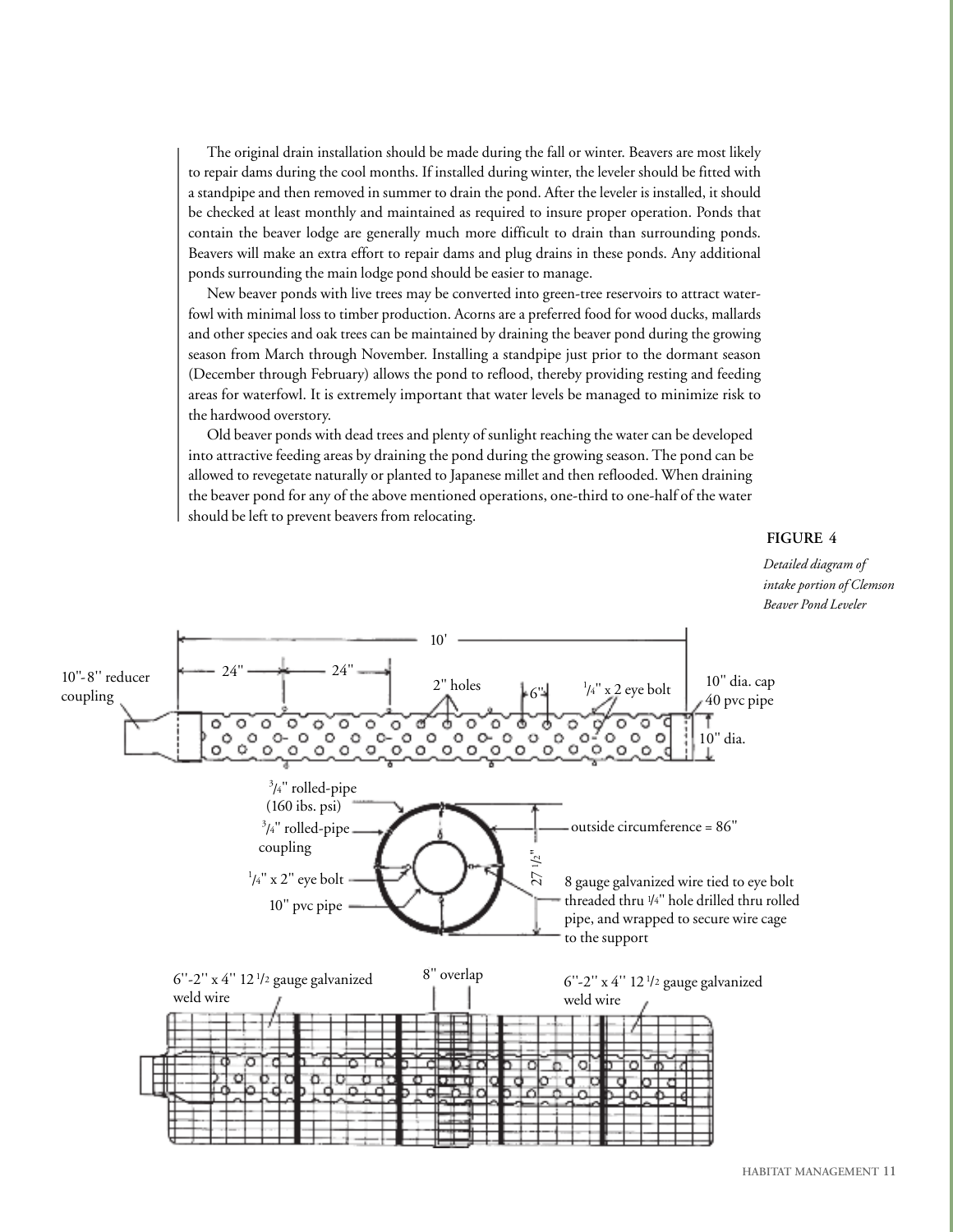The original drain installation should be made during the fall or winter. Beavers are most likely to repair dams during the cool months. If installed during winter, the leveler should be fitted with a standpipe and then removed in summer to drain the pond. After the leveler is installed, it should be checked at least monthly and maintained as required to insure proper operation. Ponds that contain the beaver lodge are generally much more difficult to drain than surrounding ponds. Beavers will make an extra effort to repair dams and plug drains in these ponds. Any additional ponds surrounding the main lodge pond should be easier to manage.

New beaver ponds with live trees may be converted into green-tree reservoirs to attract waterfowl with minimal loss to timber production. Acorns are a preferred food for wood ducks, mallards and other species and oak trees can be maintained by draining the beaver pond during the growing season from March through November. Installing a standpipe just prior to the dormant season (December through February) allows the pond to reflood, thereby providing resting and feeding areas for waterfowl. It is extremely important that water levels be managed to minimize risk to the hardwood overstory.

Old beaver ponds with dead trees and plenty of sunlight reaching the water can be developed into attractive feeding areas by draining the pond during the growing season.The pond can be allowed to revegetate naturally or planted to Japanese millet and then reflooded. When draining the beaver pond for any of the above mentioned operations, one-third to one-half of the water should be left to prevent beavers from relocating.

**FIGURE 4**

*Detailed diagram of intake portion of Clemson Beaver Pond Leveler*

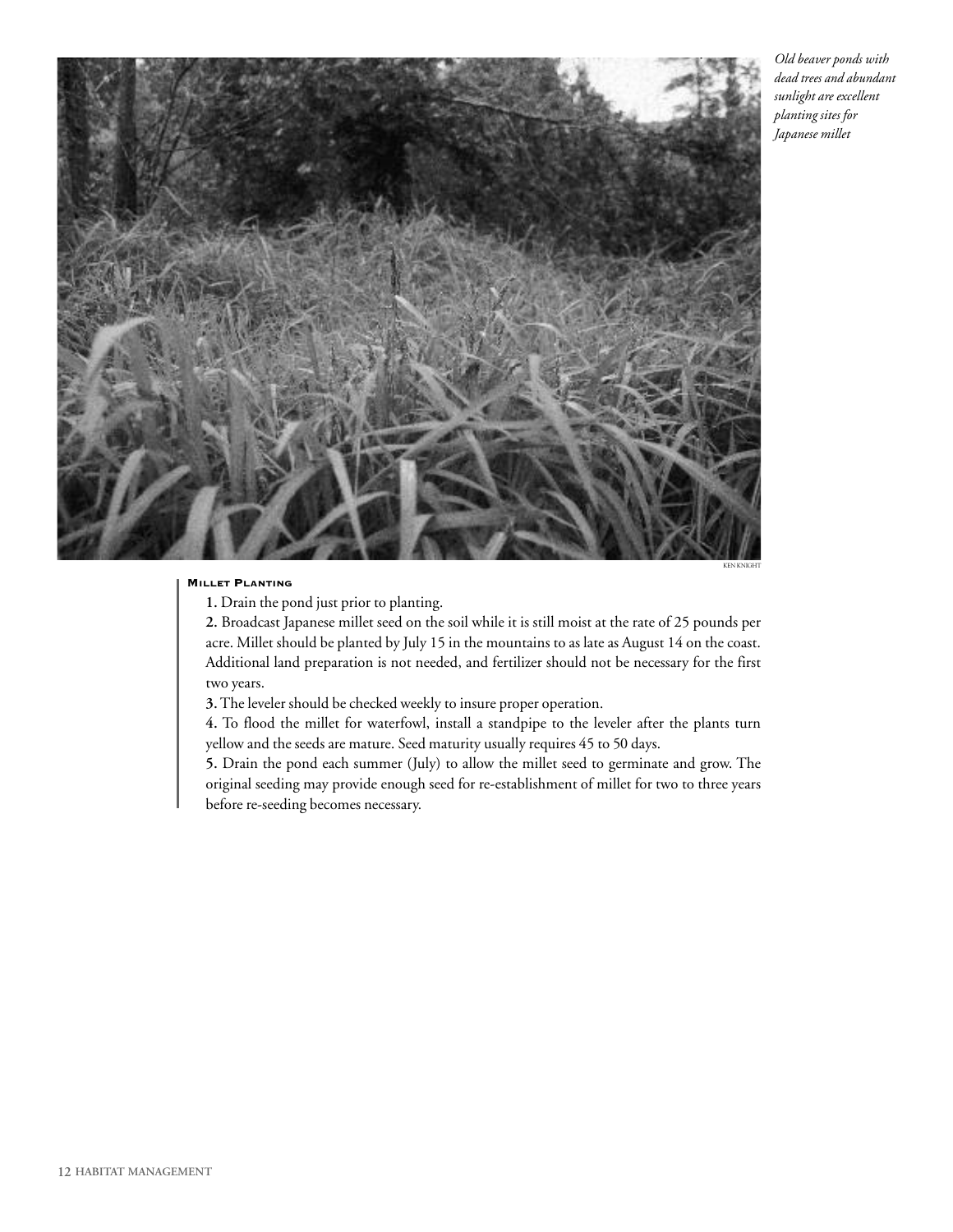

*Old beaver ponds with dead trees and abundant sunlight are excellent planting sites for Japanese millet*

#### **MILLET PLANTING**

KEN KNIGHT

**1.** Drain the pond just prior to planting.

**2.** Broadcast Japanese millet seed on the soil while it is still moist at the rate of 25 pounds per acre. Millet should be planted by July 15 in the mountains to as late as August 14 on the coast. Additional land preparation is not needed, and fertilizer should not be necessary for the first two years.

**3.**The leveler should be checked weekly to insure proper operation.

**4.** To flood the millet for waterfowl, install a standpipe to the leveler after the plants turn yellow and the seeds are mature. Seed maturity usually requires 45 to 50 days.

**5.** Drain the pond each summer (July) to allow the millet seed to germinate and grow. The original seeding may provide enough seed for re-establishment of millet for two to three years before re-seeding becomes necessary.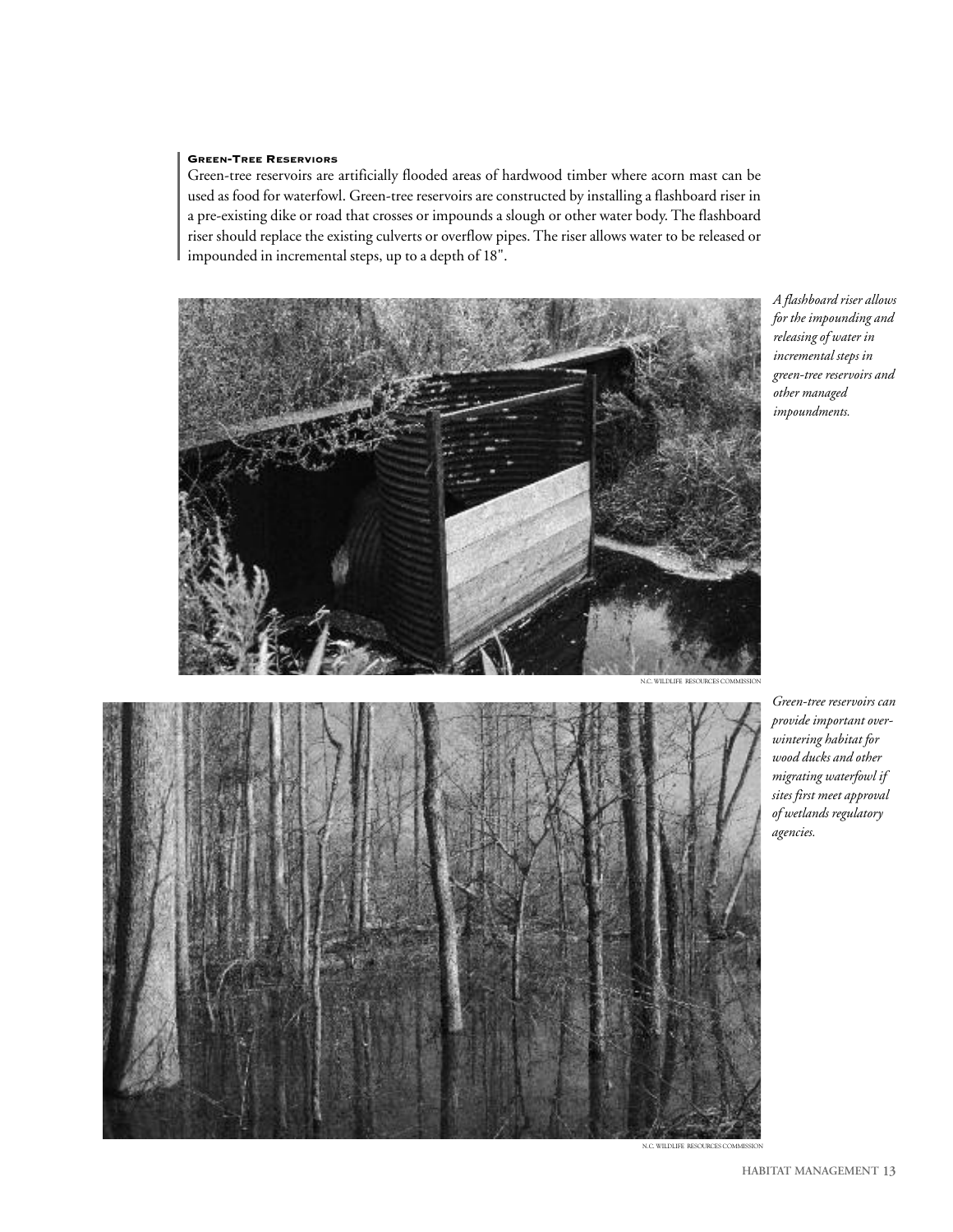#### **GREEN-TREE RESERVIORS**

Green-tree reservoirs are artificially flooded areas of hardwood timber where acorn mast can be used as food for waterfowl. Green-tree reservoirs are constructed by installing a flashboard riser in a pre-existing dike or road that crosses or impounds a slough or other water body. The flashboard riser should replace the existing culverts or overflow pipes.The riser allows water to be released or impounded in incremental steps, up to a depth of 18".



*A flashboard riser allows for the impounding and releasing of water in incremental steps in green-tree reservoirs and other managed impoundments.*



*Green-tree reservoirs can provide important overwintering habitat for wood ducks and other migrating waterfowl if sites first meet approval of wetlands regulatory agencies.*

N.C. WILDLIFE RESOURCES COM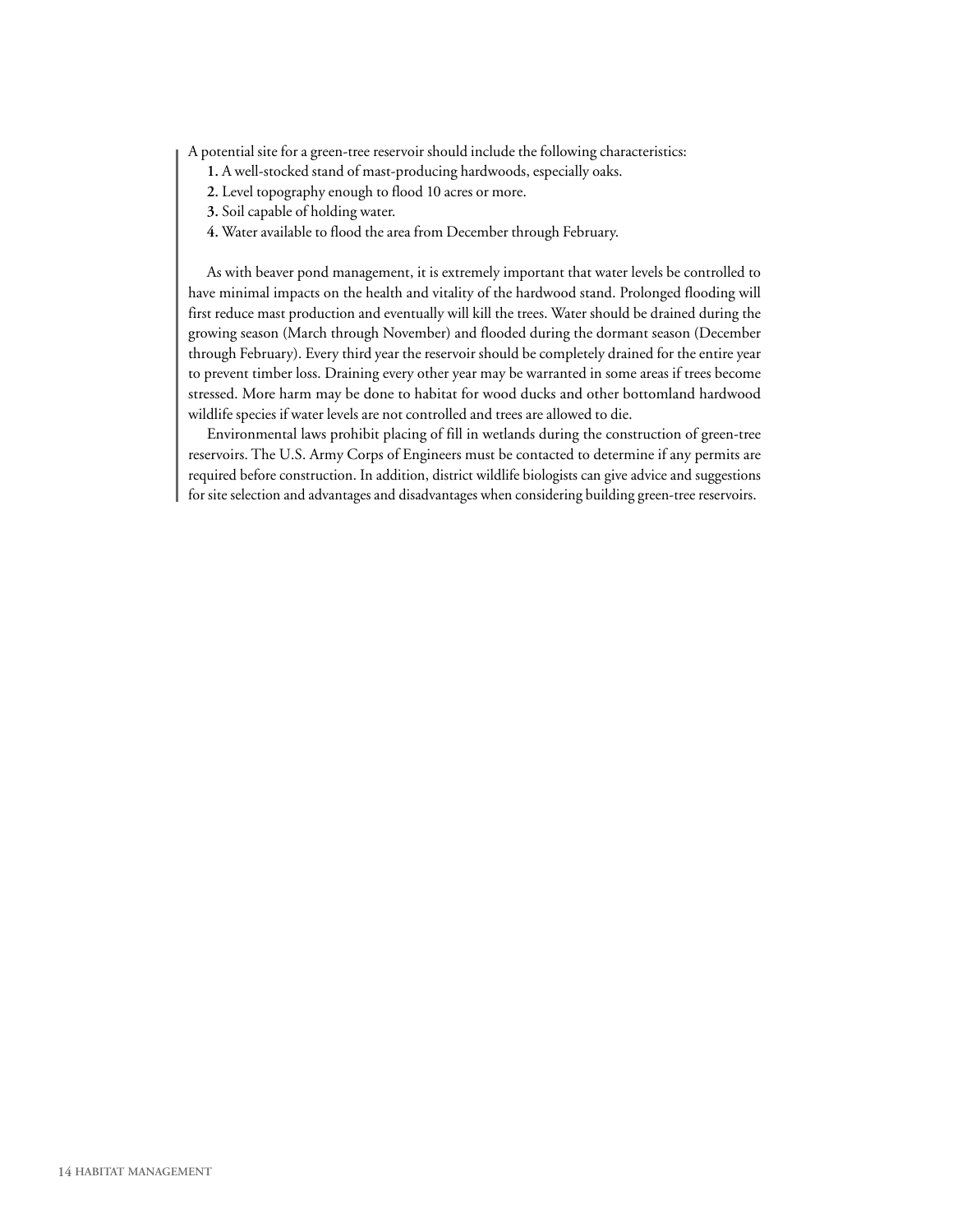A potential site for a green-tree reservoir should include the following characteristics:

- **1.** A well-stocked stand of mast-producing hardwoods, especially oaks.
- **2.** Level topography enough to flood 10 acres or more.
- **3.** Soil capable of holding water.
- **4.** Water available to flood the area from December through February.

As with beaver pond management, it is extremely important that water levels be controlled to have minimal impacts on the health and vitality of the hardwood stand. Prolonged flooding will first reduce mast production and eventually will kill the trees. Water should be drained during the growing season (March through November) and flooded during the dormant season (December through February). Every third year the reservoir should be completely drained for the entire year to prevent timber loss. Draining every other year may be warranted in some areas if trees become stressed. More harm may be done to habitat for wood ducks and other bottomland hardwood wildlife species if water levels are not controlled and trees are allowed to die.

Environmental laws prohibit placing of fill in wetlands during the construction of green-tree reservoirs. The U.S. Army Corps of Engineers must be contacted to determine if any permits are required before construction. In addition, district wildlife biologists can give advice and suggestions for site selection and advantages and disadvantages when considering building green-tree reservoirs.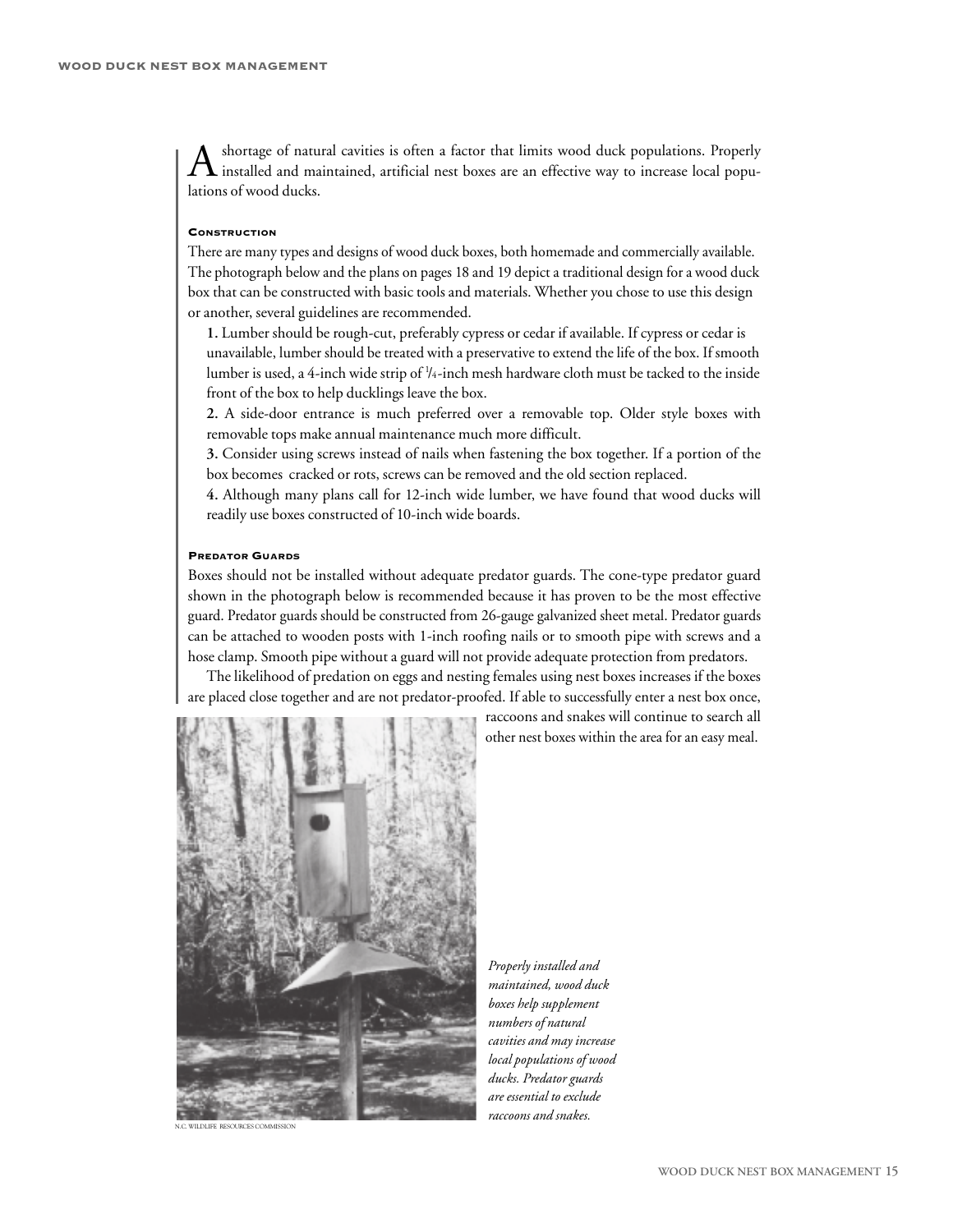A shortage of natural cavities is often a factor that limits wood duck populations. Properly<br>installed and maintained, artificial nest boxes are an effective way to increase local populations of wood ducks.

#### **CONSTRUCTION**

There are many types and designs of wood duck boxes, both homemade and commercially available. The photograph below and the plans on pages 18 and 19 depict a traditional design for a wood duck box that can be constructed with basic tools and materials. Whether you chose to use this design or another, several guidelines are recommended.

**1.** Lumber should be rough-cut, preferably cypress or cedar if available. If cypress or cedar is unavailable, lumber should be treated with a preservative to extend the life of the box. If smooth lumber is used, a 4-inch wide strip of ¼-inch mesh hardware cloth must be tacked to the inside front of the box to help ducklings leave the box.

**2.** A side-door entrance is much preferred over a removable top. Older style boxes with removable tops make annual maintenance much more difficult.

**3.** Consider using screws instead of nails when fastening the box together. If a portion of the box becomes cracked or rots, screws can be removed and the old section replaced.

**4.** Although many plans call for 12-inch wide lumber, we have found that wood ducks will readily use boxes constructed of 10-inch wide boards.

#### **PREDATOR GUARDS**

Boxes should not be installed without adequate predator guards. The cone-type predator guard shown in the photograph below is recommended because it has proven to be the most effective guard. Predator guards should be constructed from 26-gauge galvanized sheet metal. Predator guards can be attached to wooden posts with 1-inch roofing nails or to smooth pipe with screws and a hose clamp. Smooth pipe without a guard will not provide adequate protection from predators.

The likelihood of predation on eggs and nesting females using nest boxes increases if the boxes are placed close together and are not predator-proofed. If able to successfully enter a nest box once,



*Properly installed and maintained, wood duck boxes help supplement numbers of natural cavities and may increase local populations of wood ducks. Predator guards are essential to exclude raccoons* and *snakes*.

raccoons and snakes will continue to search all other nest boxes within the area for an easy meal.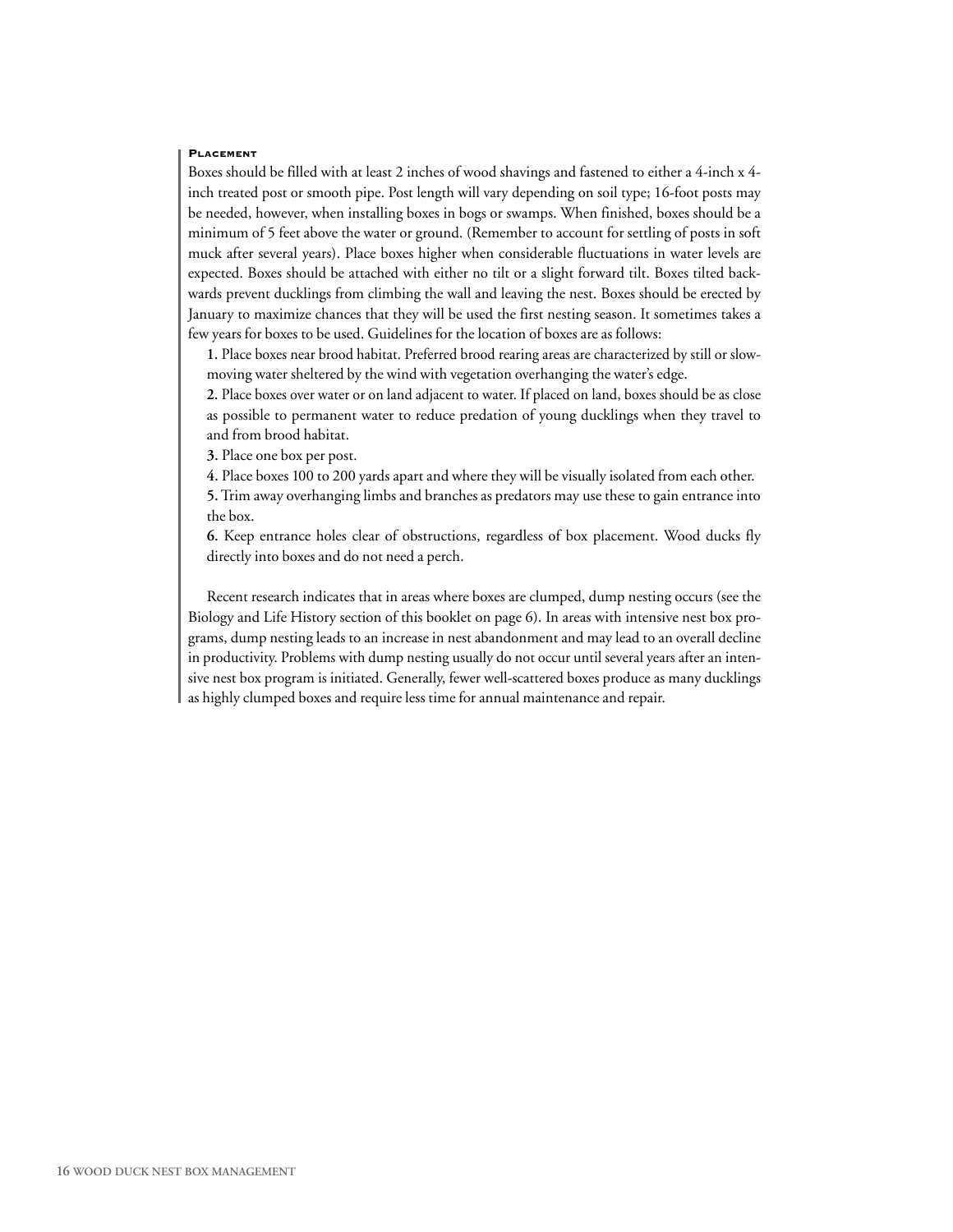#### **PLACEMENT**

Boxes should be filled with at least 2 inches of wood shavings and fastened to either a 4-inch x 4 inch treated post or smooth pipe. Post length will vary depending on soil type; 16-foot posts may be needed, however, when installing boxes in bogs or swamps. When finished, boxes should be a minimum of 5 feet above the water or ground. (Remember to account for settling of posts in soft muck after several years). Place boxes higher when considerable fluctuations in water levels are expected. Boxes should be attached with either no tilt or a slight forward tilt. Boxes tilted backwards prevent ducklings from climbing the wall and leaving the nest. Boxes should be erected by January to maximize chances that they will be used the first nesting season. It sometimes takes a few years for boxes to be used. Guidelines for the location of boxes are as follows:

**1.** Place boxes near brood habitat. Preferred brood rearing areas are characterized by still or slowmoving water sheltered by the wind with vegetation overhanging the water's edge.

**2.** Place boxes over water or on land adjacent to water. If placed on land, boxes should be as close as possible to permanent water to reduce predation of young ducklings when they travel to and from brood habitat.

**3.** Place one box per post.

**4.** Place boxes 100 to 200 yards apart and where they will be visually isolated from each other.

**5.**Trim away overhanging limbs and branches as predators may use these to gain entrance into the box.

**6.** Keep entrance holes clear of obstructions, regardless of box placement. Wood ducks fly directly into boxes and do not need a perch.

Recent research indicates that in areas where boxes are clumped, dump nesting occurs (see the Biology and Life History section of this booklet on page 6). In areas with intensive nest box programs, dump nesting leads to an increase in nest abandonment and may lead to an overall decline in productivity. Problems with dump nesting usually do not occur until several years after an intensive nest box program is initiated. Generally, fewer well-scattered boxes produce as many ducklings as highly clumped boxes and require less time for annual maintenance and repair.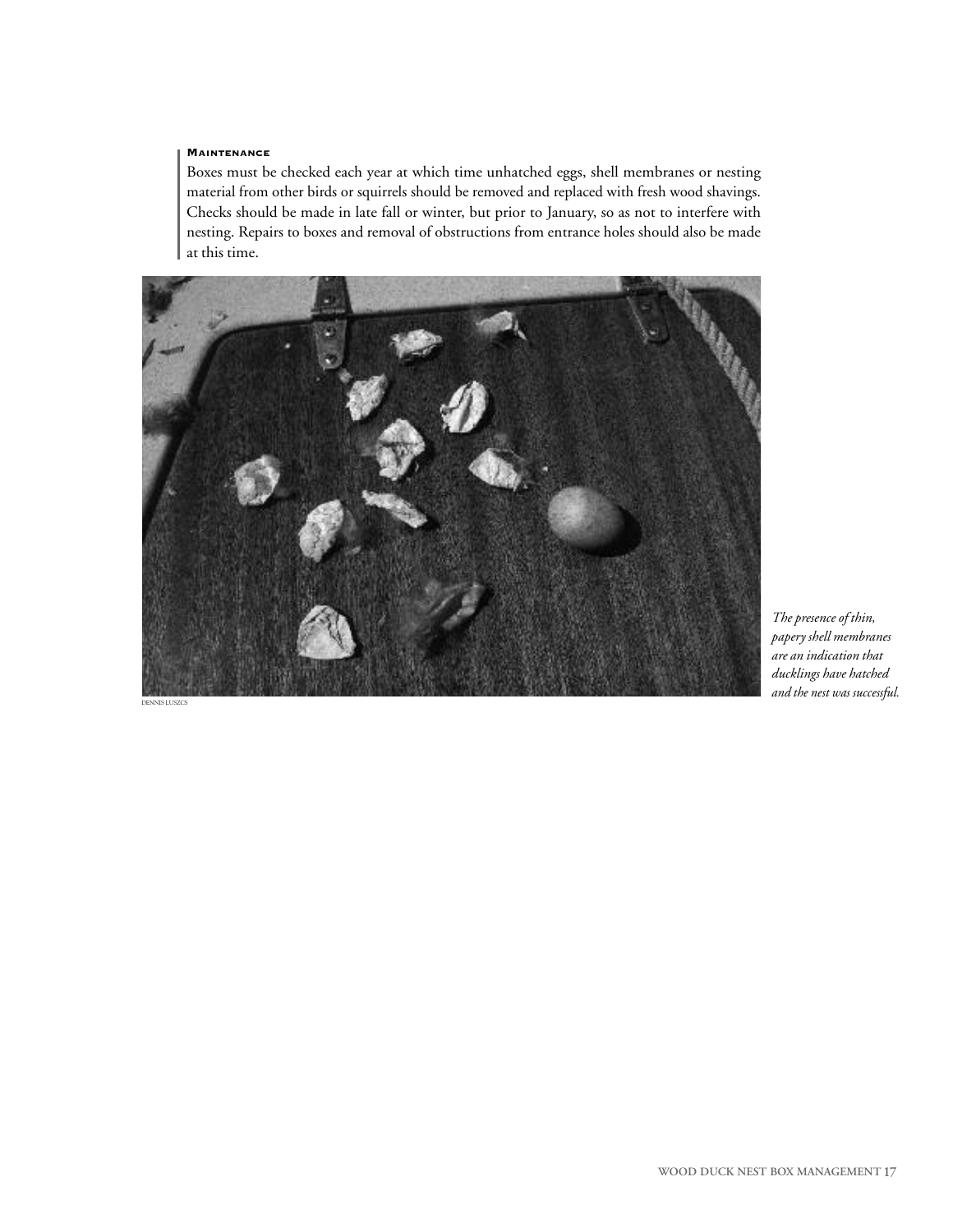#### **MAINTENANCE**

Boxes must be checked each year at which time unhatched eggs, shell membranes or nesting material from other birds or squirrels should be removed and replaced with fresh wood shavings. Checks should be made in late fall or winter, but prior to January, so as not to interfere with nesting. Repairs to boxes and removal of obstructions from entrance holes should also be made at this time.



*The presence of thin, papery shell membranes are an indication that ducklings have hatched and the nest was successful.*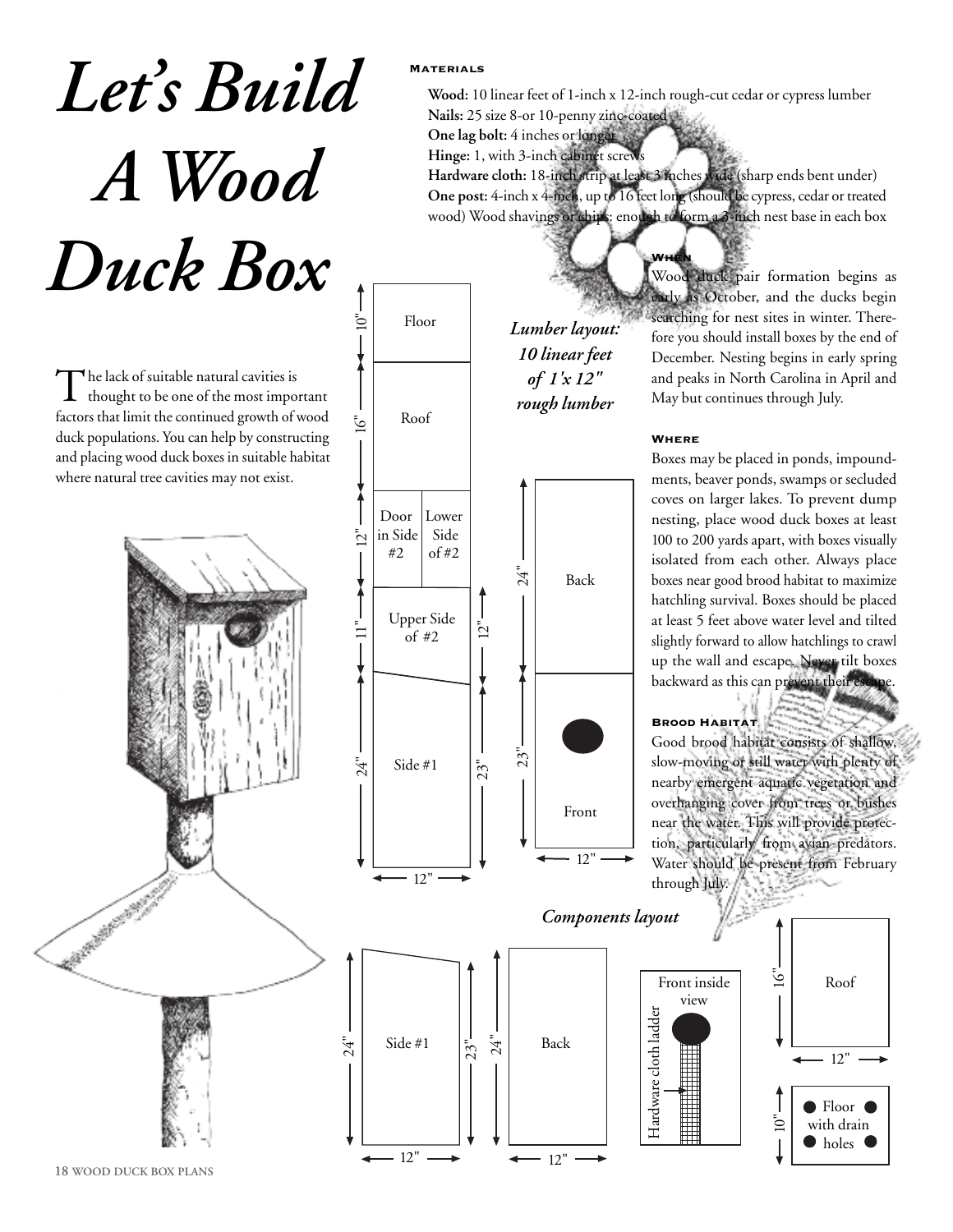# *Let' s Build A Wood Duck Box*

The lack of suitable natural cavities is thought to be one of the most important factors that limit the continued growth of wood duck populations. You can help by constructing and placing wood duck boxes in suitable habitat where natural tree cavities may not exist.

### **Materials**

**Wood:** 10 linear feet of 1-inch x 12-inch rough-cut cedar or cypress lumber **Nails:** 25 size 8-or 10-penny zinc-coated

**One lag bolt:** 4 inches or longer **Hinge:** 1, with 3-inch cabinet screw **Hardware cloth:** 18-inch strip at least 3 inches wide (sharp ends bent under) **One post:** 4-inch x 4-inch, up to 16 feet long (should be cypress, cedar or treated wood) Wood shavings or chips: enough to form a 3-inch nest base in each box

**When**



Wood duck pair formation begins as early as October, and the ducks begin searching for nest sites in winter. Therefore you should install boxes by the end of December. Nesting begins in early spring and peaks in North Carolina in April and May but continues through July.

#### **Where**

Boxes may be placed in ponds, impoundments, beaver ponds, swamps or secluded coves on larger lakes. To prevent dump nesting, place wood duck boxes at least 100 to 200 yards apart, with boxes visually isolated from each other. Always place boxes near good brood habitat to maximize hatchling survival. Boxes should be placed at least 5 feet above water level and tilted slightly forward to allow hatchlings to crawl up the wall and escape. Never tilt boxes backward as this can prevent their esc

#### **Brood Habitat**

Good brood habitat consists of shallow, slow-moving or still water with plenty of nearby emergent aquatic vegetation and overhanging cover from trees or bushes near the water. This will provide protection, particularly from avian predators. Water should be present from February through July.



**18 WOOD DUCK BOX PLANS**

CONTROLLER BANK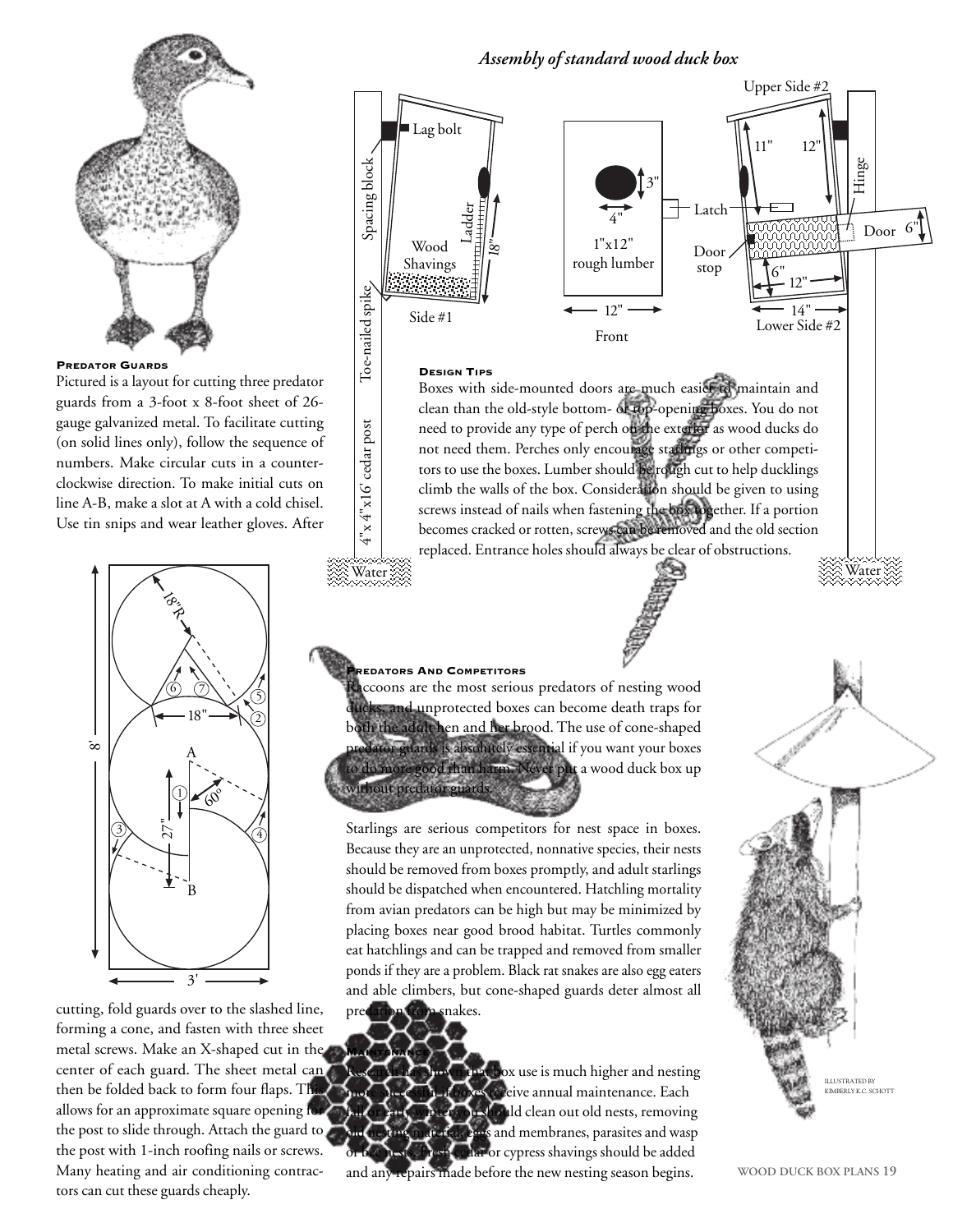

#### **PREDATOR GUARDS**

Pictured is a layout for cutting three predator guards from a 3-foot x 8-foot sheet of 26 gauge galvanized metal. To facilitate cutting (on solid lines only), follow the sequence of numbers. Make circular cuts in a counterclockwise direction. To make initial cuts on line A-B, make a slot at A with a cold chisel. Use tin snips and wear leather gloves. After



cutting, fold guards over to the slashed line, forming a cone, and fasten with three sheet metal screws. Make an X-shaped cut in the center of each guard. The sheet metal can then be folded back to form four flaps. The allows for an approximate square opening for the post to slide through. Attach the guard to the post with 1-inch roofing nails or screws. Many heating and air conditioning contractors can cut these guards cheaply.

#### Lag bolt Hinge Ladder Latch 4" 3" 11" 12" Upper Side #2

*Assembly of standard wood duck box*

Door stop Door 1"x12" rough lumber Wood Shavings Water  $\gg$  Water  $12"$ 12" 6" 6" 14"  $\tilde{8}$ " Side #1  $\overline{12}$   $\overline{14}$   $\overline{14}$   $\overline{14}$   $\overline{14}$   $\overline{14}$   $\overline{14}$   $\overline{14}$   $\overline{14}$   $\overline{14}$   $\overline{14}$   $\overline{14}$   $\overline{14}$   $\overline{14}$   $\overline{14}$   $\overline{14}$   $\overline{14}$   $\overline{14}$   $\overline{14}$   $\overline{14}$   $\overline{14}$   $\over$ Front **DESIGN TIPS** Boxes with side-mounted doors are much easier to maintain and clean than the old-style bottom- or top-opening boxes. You do not need to provide any type of perch on the exterior as wood ducks do not need them. Perches only encourage starlings or other competitors to use the boxes. Lumber should be rough cut to help ducklings climb the walls of the box. Consideration should be given to using screws instead of nails when fastening the box together. If a portion becomes cracked or rotten, screws can be removed and the old section replaced. Entrance holes should always be clear of obstructions.

#### **PREDATORS AND COMPETITORS**

Spacing block

Spacing block

4"x 4"x16' cedar post Toe-nailed spike

x 4"x16' cedar post

 $\zeta$ 

Toe-nailed spike

accoons are the most serious predators of nesting wood icks, and unprotected boxes can become death traps for both the adult hen and her brood. The use of cone-shaped dator guards is absolutely essential if you want your boxes do more good than harm. Never put a wood duck box up without predator guards.

Starlings are serious competitors for nest space in boxes. Because they are an unprotected, nonnative species, their nests should be removed from boxes promptly, and adult starlings should be dispatched when encountered. Hatchling mortality from avian predators can be high but may be minimized by placing boxes near good brood habitat. Turtles commonly eat hatchlings and can be trapped and removed from smaller ponds if they are a problem. Black rat snakes are also egg eaters and able climbers, but cone-shaped guards deter almost all predation from snakes.

**MAINTENANCE thox** use is much higher and nesting receive annual maintenance. Each hould clean out old nests, removing and membranes, parasites and wasp ar or cypress shavings should be added and any repairs made before the new nesting season begins.

ILLUSTRATED BY KIMBERLY K.C. SCHOTT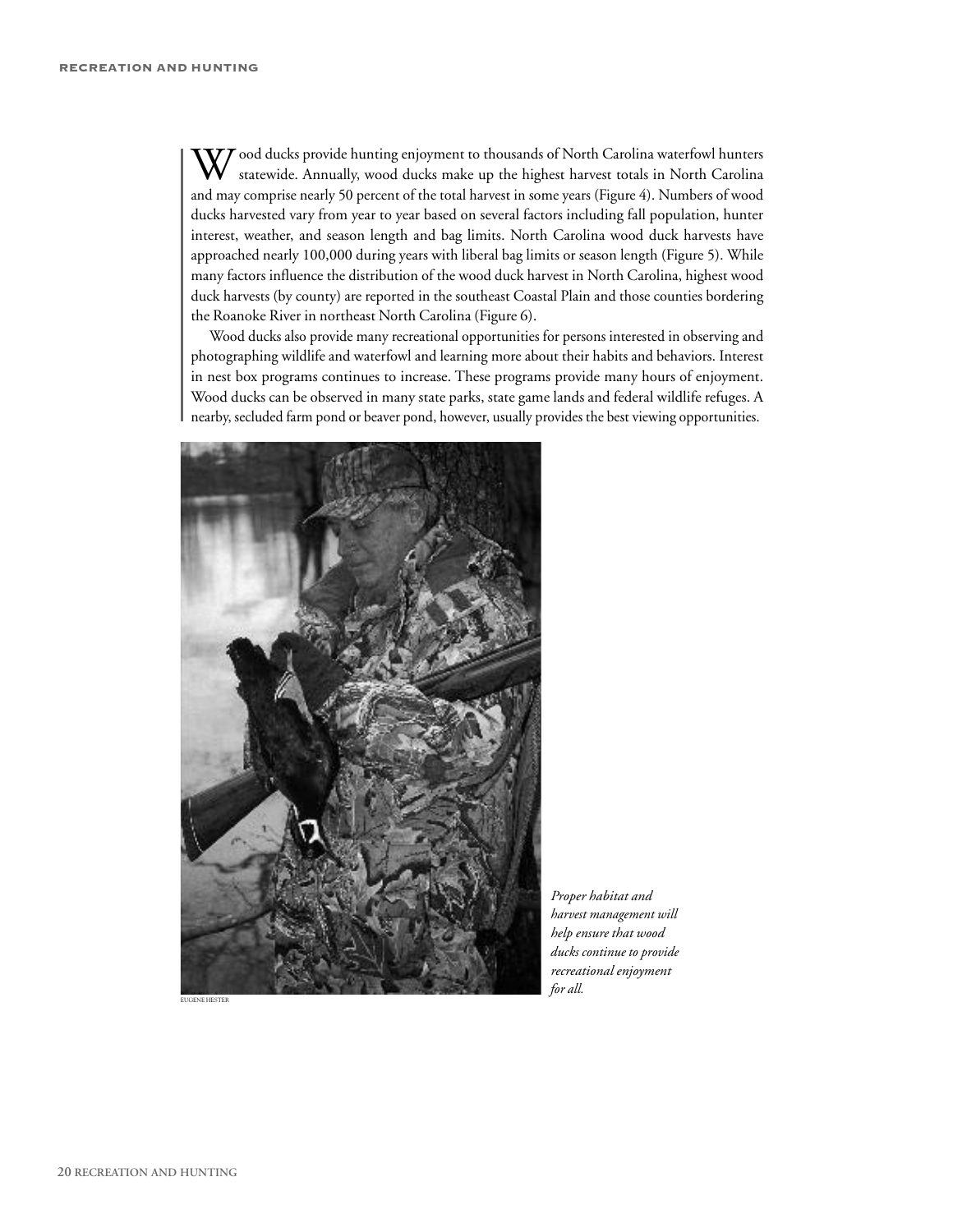$\mathbf{V}$  ood ducks provide hunting enjoyment to thousands of North Carolina waterfowl hunters statewide. Annually, wood ducks make up the highest harvest totals in North Carolina and may comprise nearly 50 percent of the total harvest in some years (Figure 4). Numbers of wood ducks harvested vary from year to year based on several factors including fall population, hunter interest, weather, and season length and bag limits. North Carolina wood duck harvests have approached nearly 100,000 during years with liberal bag limits or season length (Figure 5). While many factors influence the distribution of the wood duck harvest in North Carolina, highest wood duck harvests (by county) are reported in the southeast Coastal Plain and those counties bordering the Roanoke River in northeast North Carolina (Figure 6).

Wood ducks also provide many recreational opportunities for persons interested in observing and photographing wildlife and waterfowl and learning more about their habits and behaviors. Interest in nest box programs continues to increase. These programs provide many hours of enjoyment. Wood ducks can be observed in many state parks, state game lands and federal wildlife refuges. A nearby, secluded farm pond or beaver pond, however, usually provides the best viewing opportunities.



*Proper habitat and harvest management will help ensure that wood ducks continue to provide recreational enjoyment for all.*

EUGENE HESTER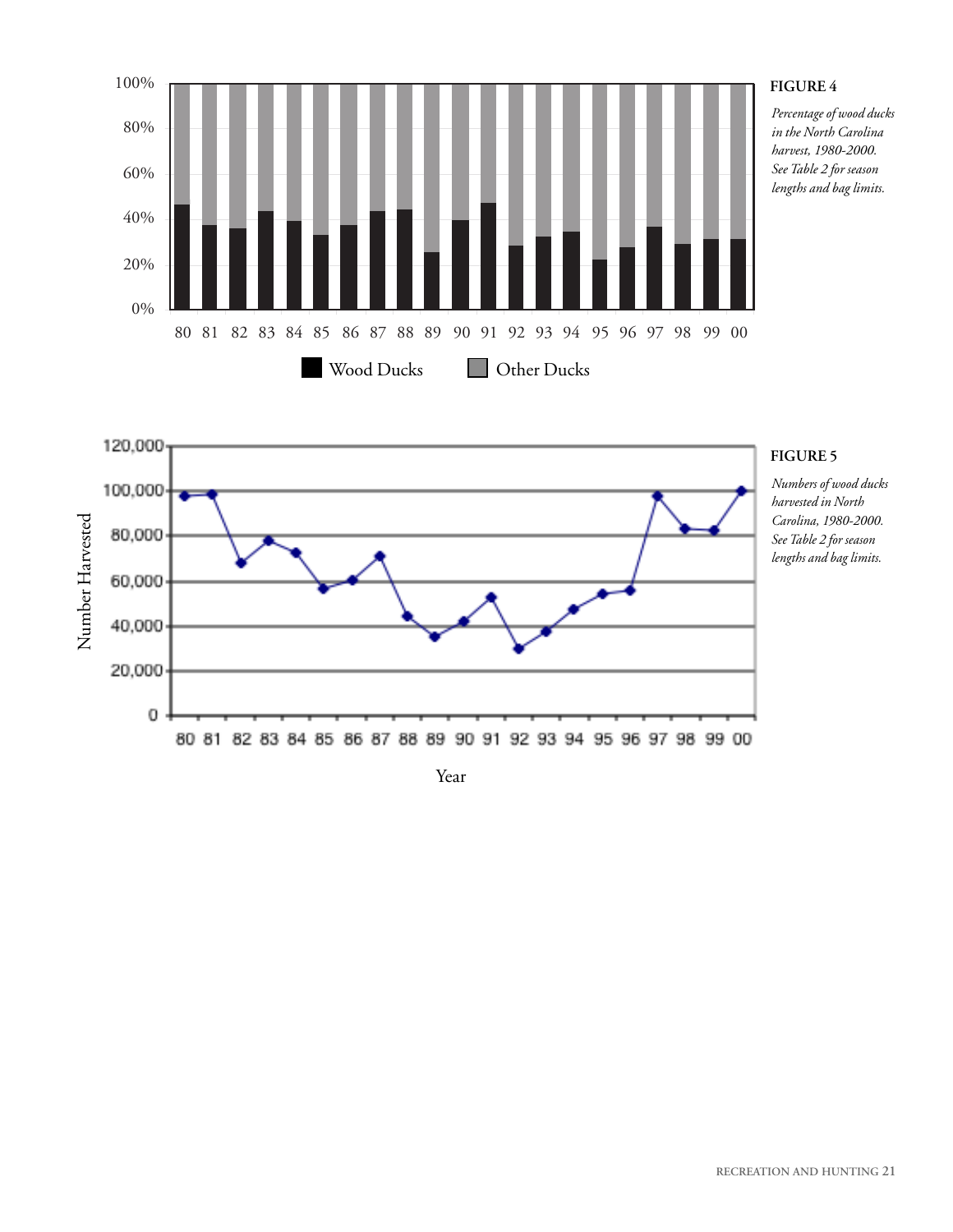

#### **FIGURE 4**

*Percentage of wood ducks in the North Carolina harvest, 1980-2000. SeeTable 2 for season lengths and bag limits.*

#### 120,000 100,000 arvested 80,000 ber H 60,000 u m 40,000  $\mathsf{Z}% _{T}=\mathsf{Z}_{T}\!\left( a,b\right) ,\ \mathsf{Z}_{T}=\mathsf{Z}_{T}$ 20,000  $\overline{\mathbf{0}}$ 80 81 82 83 84 85 86 87 88 89 90 91 92 93 94 95 96 97 98 99 00

#### **FIGURE 5**

*Numbers of wood ducks harvested in North Carolina, 1980-2000. SeeTable 2 for season lengths and bag limits.*

#### Year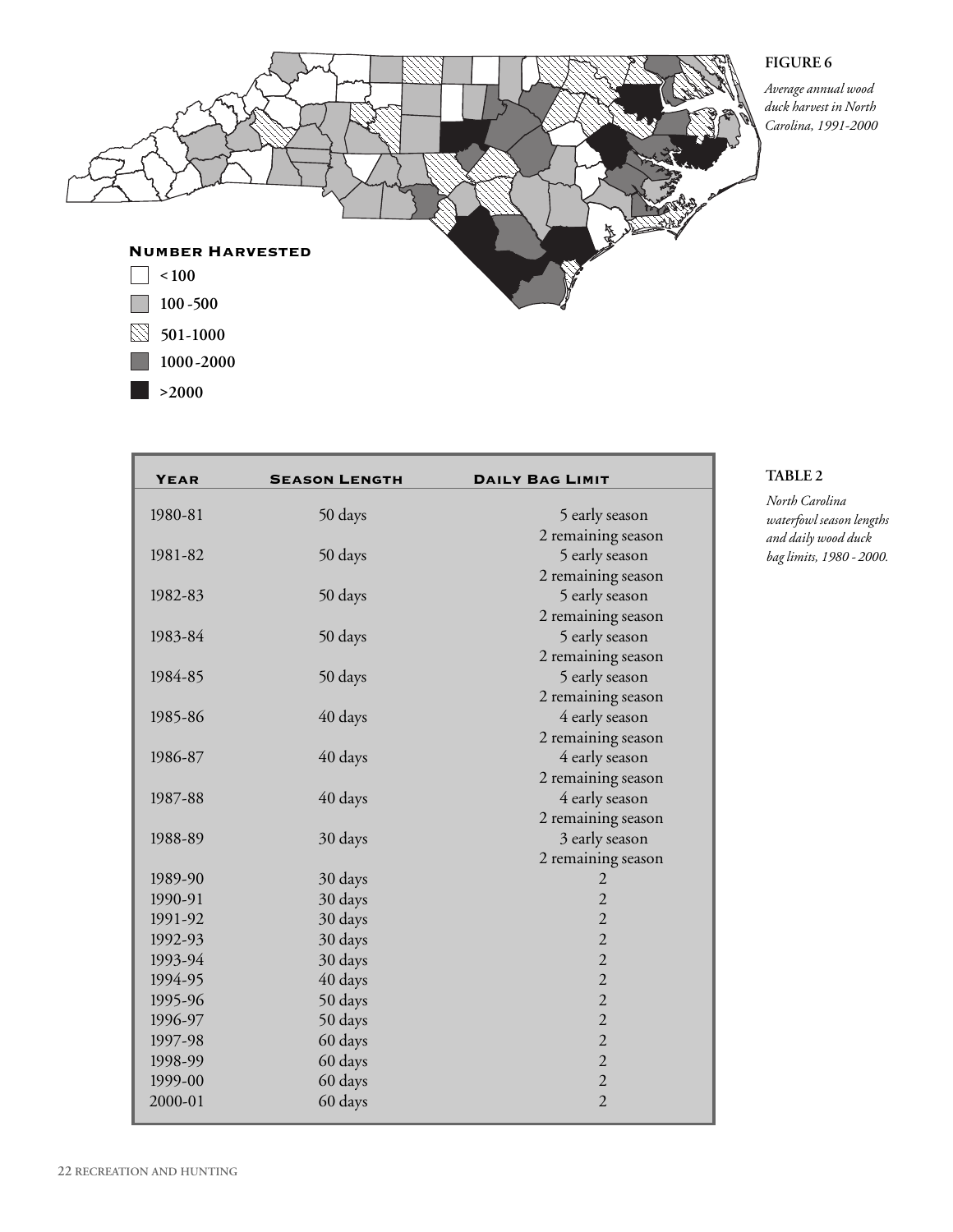#### **FIGURE 6**

*Average annual wood duck harvest in North Carolina, 1991-2000*



| <b>YEAR</b> | <b>SEASON LENGTH</b> | <b>DAILY BAG LIMIT</b> |
|-------------|----------------------|------------------------|
| 1980-81     | 50 days              | 5 early season         |
|             |                      | 2 remaining season     |
| 1981-82     | 50 days              | 5 early season         |
|             |                      | 2 remaining season     |
| 1982-83     | 50 days              | 5 early season         |
|             |                      | 2 remaining season     |
| 1983-84     | 50 days              | 5 early season         |
|             |                      | 2 remaining season     |
| 1984-85     | 50 days              | 5 early season         |
|             |                      | 2 remaining season     |
| 1985-86     | 40 days              | 4 early season         |
|             |                      | 2 remaining season     |
| 1986-87     | 40 days              | 4 early season         |
|             |                      | 2 remaining season     |
| 1987-88     | 40 days              | 4 early season         |
|             |                      | 2 remaining season     |
| 1988-89     | 30 days              | 3 early season         |
|             |                      | 2 remaining season     |
| 1989-90     | 30 days              | 2                      |
| 1990-91     | 30 days              | $\overline{2}$         |
| 1991-92     | 30 days              | $\overline{2}$         |
| 1992-93     | 30 days              | $\overline{2}$         |
| 1993-94     | 30 days              | $\overline{2}$         |
| 1994-95     | 40 days              | $\overline{2}$         |
| 1995-96     | 50 days              | $\overline{2}$         |
| 1996-97     | 50 days              | $\overline{2}$         |
| 1997-98     | 60 days              | $\overline{2}$         |
| 1998-99     | 60 days              | $\overline{2}$         |
| 1999-00     | 60 days              | $\overline{2}$         |
| 2000-01     | 60 days              | $\overline{2}$         |

#### **TABLE 2**

*North Carolina waterfowl season lengths and daily wood duck bag limits, 1980 - 2000.*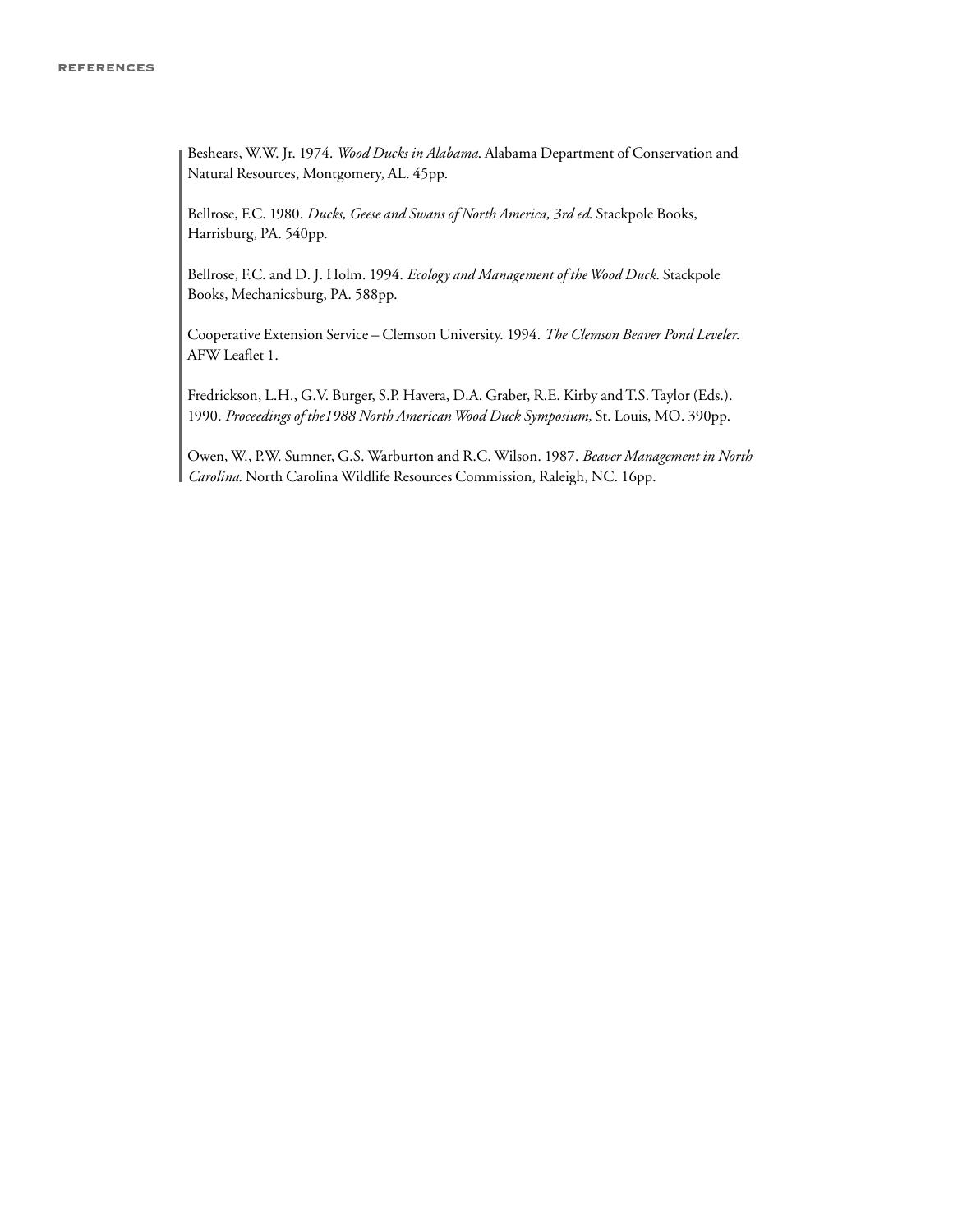Beshears, W.W. Jr. 1974. *Wood Ducks in Alabama*. Alabama Department of Conservation and Natural Resources, Montgomery, AL. 45pp.

Bellrose, F.C. 1980. *Ducks, Geese and Swans of North America, 3rd ed*. Stackpole Books, Harrisburg, PA. 540pp.

Bellrose, F.C. and D. J. Holm. 1994. *Ecology and Management of theWood Duck*. Stackpole Books, Mechanicsburg, PA. 588pp.

Cooperative Extension Service – Clemson University. 1994. *The Clemson Beaver Pond Leveler*. AFW Leaflet 1.

Fredrickson, L.H., G.V. Burger, S.P. Havera, D.A. Graber, R.E. Kirby and T.S. Taylor (Eds.). 1990. *Proceedings of the1988 North AmericanWood Duck Symposium,* St. Louis, MO. 390pp.

Owen, W., P.W. Sumner, G.S. Warburton and R.C. Wilson. 1987. *Beaver Management in North Carolina*. North Carolina Wildlife Resources Commission, Raleigh, NC. 16pp.